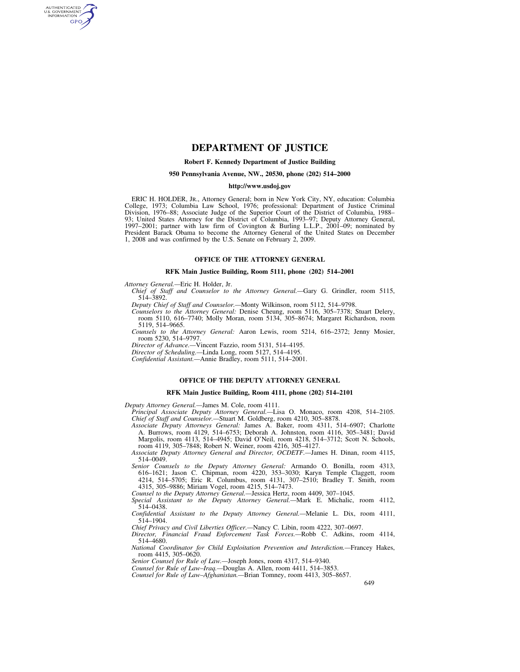# **DEPARTMENT OF JUSTICE**

## **Robert F. Kennedy Department of Justice Building**

#### **950 Pennsylvania Avenue, NW., 20530, phone (202) 514–2000**

### **http://www.usdoj.gov**

ERIC H. HOLDER, JR., Attorney General; born in New York City, NY, education: Columbia College, 1973; Columbia Law School, 1976; professional: Department of Justice Criminal Division, 1976–88; Associate Judge of the Superior Court of the District of Columbia, 1988– 93; United States Attorney for the District of Columbia, 1993–97; Deputy Attorney General, 1997–2001; partner with law firm of Covington & Burling L.L.P., 2001–09; nominated by President Barack Obama to become the Attorney General of the United States on December 1, 2008 and was confirmed by the U.S. Senate on February 2, 2009.

### **OFFICE OF THE ATTORNEY GENERAL**

### **RFK Main Justice Building, Room 5111, phone (202) 514–2001**

*Attorney General.—*Eric H. Holder, Jr.

AUTHENTICATED<br>U.S. GOVERNMENT<br>INFORMATION GPO

> *Chief of Staff and Counselor to the Attorney General.—*Gary G. Grindler, room 5115, 514–3892.

*Deputy Chief of Staff and Counselor.—*Monty Wilkinson, room 5112, 514–9798.

*Counselors to the Attorney General:* Denise Cheung, room 5116, 305–7378; Stuart Delery, room 5110, 616–7740; Molly Moran, room 5134, 305–8674; Margaret Richardson, room 5119, 514–9665.

*Counsels to the Attorney General:* Aaron Lewis, room 5214, 616–2372; Jenny Mosier, room 5230, 514–9797.

*Director of Advance.—*Vincent Fazzio, room 5131, 514–4195.

*Director of Scheduling.—*Linda Long, room 5127, 514–4195.

*Confidential Assistant.—*Annie Bradley, room 5111, 514–2001.

### **OFFICE OF THE DEPUTY ATTORNEY GENERAL**

### **RFK Main Justice Building, Room 4111, phone (202) 514–2101**

*Deputy Attorney General.—*James M. Cole, room 4111.

*Principal Associate Deputy Attorney General.—*Lisa O. Monaco, room 4208, 514–2105. *Chief of Staff and Counselor.—*Stuart M. Goldberg, room 4210, 305–8878.

*Associate Deputy Attorneys General:* James A. Baker, room 4311, 514–6907; Charlotte A. Burrows, room 4129, 514–6753; Deborah A. Johnston, room 4116, 305–3481; David Margolis, room 4113, 514–4945; David O'Neil, room 4218, 514–3712; Scott N. Schools, room 4119, 305–7848; Robert N. Weiner, room 4216, 305–4127.

*Associate Deputy Attorney General and Director, OCDETF.—*James H. Dinan, room 4115, 514–0049.

*Senior Counsels to the Deputy Attorney General:* Armando O. Bonilla, room 4313, 616–1621; Jason C. Chipman, room 4220, 353–3030; Karyn Temple Claggett, room 4214, 514–5705; Eric R. Columbus, room 4131, 307–2510; Bradley T. Smith, room 4315, 305–9886; Miriam Vogel, room 4215, 514–7473.

*Counsel to the Deputy Attorney General.—*Jessica Hertz, room 4409, 307–1045.

*Special Assistant to the Deputy Attorney General.—*Mark E. Michalic, room 4112, 514–0438.

*Confidential Assistant to the Deputy Attorney General.—*Melanie L. Dix, room 4111, 514–1904.

*Chief Privacy and Civil Liberties Officer.—*Nancy C. Libin, room 4222, 307–0697.

*Director, Financial Fraud Enforcement Task Forces.—*Robb C. Adkins, room 4114, 514–4680.

*National Coordinator for Child Exploitation Prevention and Interdiction.—*Francey Hakes, room 4415, 305–0620.

*Senior Counsel for Rule of Law.—*Joseph Jones, room 4317, 514–9340.

*Counsel for Rule of Law–Iraq.—*Douglas A. Allen, room 4411, 514–3853.

*Counsel for Rule of Law–Afghanistan.—*Brian Tomney, room 4413, 305–8657.

649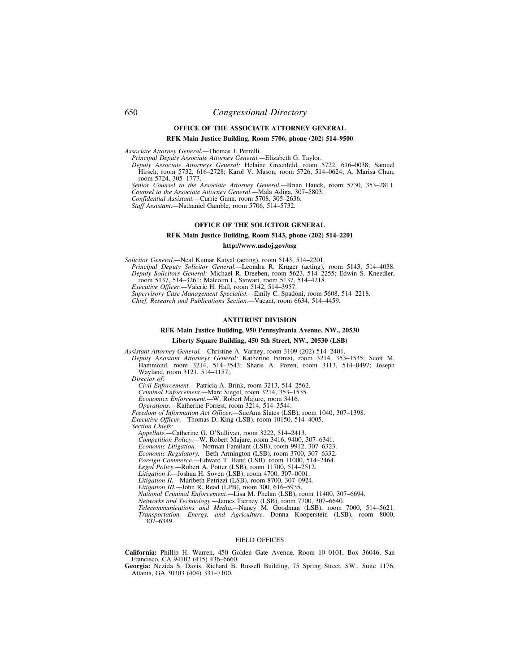# **OFFICE OF THE ASSOCIATE ATTORNEY GENERAL**

# **RFK Main Justice Building, Room 5706, phone (202) 514–9500**

*Associate Attorney General.—*Thomas J. Perrelli.

*Principal Deputy Associate Attorney General.—*Elizabeth G. Taylor.

*Deputy Associate Attorneys General:* Helaine Greenfeld, room 5722, 616–0038; Samuel Hirsch, room 5732, 616–2728; Karol V. Mason, room 5726, 514–0624; A. Marisa Chun, room 5724, 305–1777.

*Senior Counsel to the Associate Attorney General.—*Brian Hauck, room 5730, 353–2811.

*Counsel to the Associate Attorney General.—*Mala Adiga, 307–5803. *Confidential Assistant.—*Currie Gunn, room 5708, 305–2636.

*Staff Assistant.—*Nathaniel Gamble, room 5706, 514–5732.

### **OFFICE OF THE SOLICITOR GENERAL**

# **RFK Main Justice Building, Room 5143, phone (202) 514–2201**

### **http://www.usdoj.gov/osg**

*Solicitor General.—*Neal Kumar Katyal (acting), room 5143, 514–2201.

*Principal Deputy Solicitor General.—*Leondra R. Kruger (acting), room 5143, 514–4038. *Deputy Solicitors General:* Michael R. Dreeben, room 5623, 514–2255; Edwin S. Kneedler,

room 5137, 514–3261; Malcolm L. Stewart, room 5137, 514–4218.

*Executive Officer.—*Valerie H. Hall, room 5142, 514–3957.

*Supervisory Case Management Specialist.—*Emily C. Spadoni, room 5608, 514–2218.

*Chief, Research and Publications Section.—*Vacant, room 6634, 514–4459.

## **ANTITRUST DIVISION**

# **RFK Main Justice Building, 950 Pennsylvania Avenue, NW., 20530**

### **Liberty Square Building, 450 5th Street, NW., 20530 (LSB)**

*Assistant Attorney General.—*Christine A. Varney, room 3109 (202) 514–2401.

*Deputy Assistant Attorneys General:* Katherine Forrest, room 3214, 353–1535; Scott M. Hammond, room 3214, 514–3543; Sharis A. Pozen, room 3113, 514–0497; Joseph Wayland, room 3121, 514–1157;.

*Director of:* 

*Civil Enforcement.—*Patricia A. Brink, room 3213, 514–2562. *Criminal Enforcement.—*Marc Siegel, room 3214, 353–1535. *Economics Enforcement.—*W. Robert Majure, room 3416.

*Operations.—*Katherine Forrest, room 3214, 514–3544.

*Freedom of Information Act Officer.—*SueAnn Slates (LSB), room 1040, 307–1398. *Executive Officer.—*Thomas D. King (LSB), room 10150, 514–4005.

*Section Chiefs:* 

*Appellate.—*Catherine G. O'Sullivan, room 3222, 514–2413.

*Competition Policy.—*W. Robert Majure, room 3416, 9400, 307–6341.

*Economic Litigation.—*Norman Familant (LSB), room 9912, 307–6323.

*Economic Regulatory.—*Beth Armington (LSB), room 3700, 307–6332.

*Foreign Commerce.—*Edward T. Hand (LSB), room 11000, 514–2464.

*Legal Policy.—*Robert A. Potter (LSB), room 11700, 514–2512.

*Litigation I.—*Joshua H. Soven (LSB), room 4700, 307–0001.

*Litigation II.—*Maribeth Petrizzi (LSB), room 8700, 307–0924.

*Litigation III.—*John R. Read (LPB), room 300, 616–5935.

*National Criminal Enforcement.—*Lisa M. Phelan (LSB), room 11400, 307–6694.

*Networks and Technology.—*James Tierney (LSB), room 7700, 307–6640.

*Telecommunications and Media.—*Nancy M. Goodman (LSB), room 7000, 514–5621. *Transportation, Energy, and Agriculture.—*Donna Kooperstein (LSB), room 8000,

307–6349.

### FIELD OFFICES

**California:** Phillip H. Warren, 450 Golden Gate Avenue, Room 10–0101, Box 36046, San Francisco, CA 94102 (415) 436–6660.

**Georgia:** Nezida S. Davis, Richard B. Russell Building, 75 Spring Street, SW., Suite 1176, Atlanta, GA 30303 (404) 331–7100.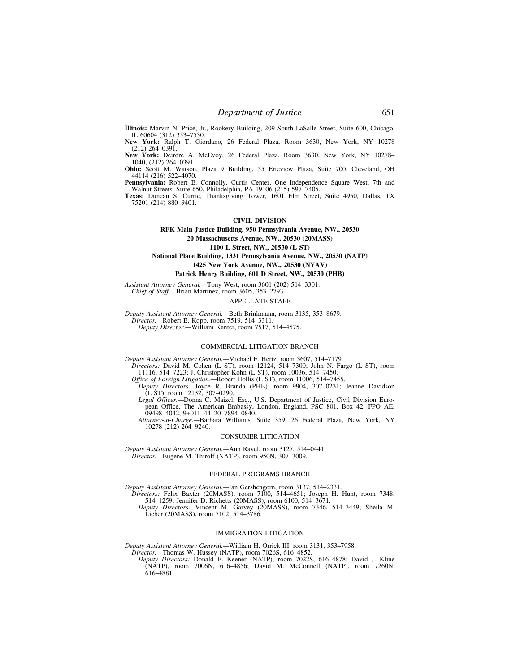**Illinois:** Marvin N. Price, Jr., Rookery Building, 209 South LaSalle Street, Suite 600, Chicago, IL 60604 (312) 353–7530.

**New York:** Ralph T. Giordano, 26 Federal Plaza, Room 3630, New York, NY 10278  $(212)$  264–0391.

**New York:** Deirdre A. McEvoy, 26 Federal Plaza, Room 3630, New York, NY 10278– 1040, (212) 264–0391.

**Ohio:** Scott M. Watson, Plaza 9 Building, 55 Erieview Plaza, Suite 700, Cleveland, OH 44114 (216) 522–4070.

**Pennsylvania:** Robert E. Connolly, Curtis Center, One Independence Square West, 7th and Walnut Streets, Suite 650, Philadelphia, PA 19106 (215) 597–7405.

**Texas:** Duncan S. Currie, Thanksgiving Tower, 1601 Elm Street, Suite 4950, Dallas, TX 75201 (214) 880–9401.

#### **CIVIL DIVISION**

# **RFK Main Justice Building, 950 Pennsylvania Avenue, NW., 20530 20 Massachusetts Avenue, NW., 20530 (20MASS)**

**1100 L Street, NW., 20530 (L ST)** 

**National Place Building, 1331 Pennsylvania Avenue, NW., 20530 (NATP) 1425 New York Avenue, NW., 20530 (NYAV)** 

#### **Patrick Henry Building, 601 D Street, NW., 20530 (PHB)**

*Assistant Attorney General.—*Tony West, room 3601 (202) 514–3301. *Chief of Staff.—*Brian Martinez, room 3605, 353–2793.

#### APPELLATE STAFF

*Deputy Assistant Attorney General.—*Beth Brinkmann, room 3135, 353–8679. *Director.—*Robert E. Kopp, room 7519, 514–3311. *Deputy Director.—*William Kanter, room 7517, 514–4575.

#### COMMERCIAL LITIGATION BRANCH

*Deputy Assistant Attorney General.—*Michael F. Hertz, room 3607, 514–7179.

*Directors:* David M. Cohen (L ST), room 12124, 514–7300; John N. Fargo (L ST), room 11116, 514–7223; J. Christopher Kohn (L ST), room 10036, 514–7450.

*Office of Foreign Litigation.—*Robert Hollis (L ST), room 11006, 514–7455.

*Deputy Directors:* Joyce R. Branda (PHB), room 9904, 307–0231; Jeanne Davidson (L ST), room 12132, 307–0290.

*Legal Officer.—*Donna C. Maizel, Esq., U.S. Department of Justice, Civil Division European Office, The American Embassy, London, England, PSC 801, Box 42, FPO AE, 09498–4042, 9+011–44–20–7894–0840.

*Attorney-in-Charge.—*Barbara Williams, Suite 359, 26 Federal Plaza, New York, NY 10278 (212) 264–9240.

### CONSUMER LITIGATION

*Deputy Assistant Attorney General.—*Ann Ravel, room 3127, 514–0441. *Director.—*Eugene M. Thirolf (NATP), room 950N, 307–3009.

### FEDERAL PROGRAMS BRANCH

*Deputy Assistant Attorney General.—*Ian Gershengorn, room 3137, 514–2331. *Directors:* Felix Baxter (20MASS), room 7100, 514–4651; Joseph H. Hunt, room 7348,

514–1259; Jennifer D. Richetts (20MASS), room 6100, 514–3671. *Deputy Directors:* Vincent M. Garvey (20MASS), room 7346, 514–3449; Sheila M.

Lieber (20MASS), room 7102, 514–3786.

### IMMIGRATION LITIGATION

*Deputy Assistant Attorney General.—*William H. Orrick III, room 3131, 353–7958. *Director.—*Thomas W. Hussey (NATP), room 7026S, 616–4852.

*Deputy Directors:* Donald E. Keener (NATP), room 7022S, 616–4878; David J. Kline (NATP), room 7006N, 616–4856; David M. McConnell (NATP), room 7260N, 616–4881.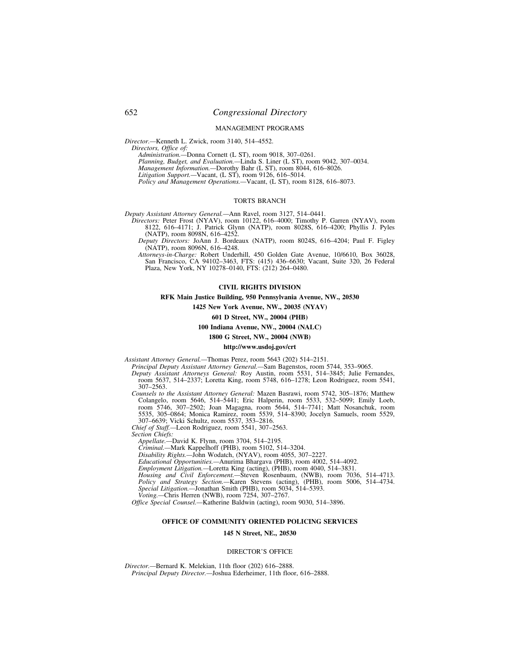#### MANAGEMENT PROGRAMS

*Director.—*Kenneth L. Zwick, room 3140, 514–4552.

*Directors, Office of:* 

*Administration.—*Donna Cornett (L ST), room 9018, 307–0261.

*Planning, Budget, and Evaluation.—*Linda S. Liner (L ST), room 9042, 307–0034.

*Management Information.—*Dorothy Bahr (L ST), room 8044, 616–8026.

*Litigation Support.—*Vacant, (L ST), room 9126, 616–5014.

*Policy and Management Operations.—*Vacant, (L ST), room 8128, 616–8073.

## TORTS BRANCH

*Deputy Assistant Attorney General.—*Ann Ravel, room 3127, 514–0441.

*Directors:* Peter Frost (NYAV), room 10122, 616–4000; Timothy P. Garren (NYAV), room 8122, 616–4171; J. Patrick Glynn (NATP), room 8028S, 616–4200; Phyllis J. Pyles (NATP), room 8098N, 616–4252.

*Deputy Directors:* JoAnn J. Bordeaux (NATP), room 8024S, 616–4204; Paul F. Figley (NATP), room 8096N, 616–4248.

*Attorneys-in-Charge:* Robert Underhill, 450 Golden Gate Avenue, 10/6610, Box 36028, San Francisco, CA 94102–3463, FTS: (415) 436–6630; Vacant, Suite 320, 26 Federal Plaza, New York, NY 10278–0140, FTS: (212) 264–0480.

### **CIVIL RIGHTS DIVISION**

### **RFK Main Justice Building, 950 Pennsylvania Avenue, NW., 20530**

**1425 New York Avenue, NW., 20035 (NYAV)** 

**601 D Street, NW., 20004 (PHB)** 

### **100 Indiana Avenue, NW., 20004 (NALC)**

### **1800 G Street, NW., 20004 (NWB)**

#### **http://www.usdoj.gov/crt**

*Assistant Attorney General.—*Thomas Perez, room 5643 (202) 514–2151.

- *Principal Deputy Assistant Attorney General.—*Sam Bagenstos, room 5744, 353–9065.
- *Deputy Assistant Attorneys General:* Roy Austin, room 5531, 514–3845; Julie Fernandes, room 5637, 514–2337; Loretta King, room 5748, 616–1278; Leon Rodriguez, room 5541, 307–2563.

*Counsels to the Assistant Attorney General:* Mazen Basrawi, room 5742, 305–1876; Matthew Colangelo, room 5646, 514–5441; Eric Halperin, room 5533, 532–5099; Emily Loeb, room 5746, 307–2502; Joan Magagna, room 5644, 514–7741; Matt Nosanchuk, room 5535, 305–0864; Monica Ramirez, room 5539, 514–8390; Jocelyn Samuels, room 5529, 307–6639; Vicki Schultz, room 5537, 353–2816. *Chief of Staff.—*Leon Rodriguez, room 5541, 307–2563.

*Section Chiefs:* 

*Appellate.—*David K. Flynn, room 3704, 514–2195.

*Criminal.—*Mark Kappelhoff (PHB), room 5102, 514–3204.

*Disability Rights.—*John Wodatch, (NYAV), room 4055, 307–2227.

*Educational Opportunities.—*Anurima Bhargava (PHB), room 4002, 514–4092.

*Employment Litigation.—*Loretta King (acting), (PHB), room 4040, 514–3831.

*Housing and Civil Enforcement.—*Steven Rosenbaum, (NWB), room 7036, 514–4713. *Policy and Strategy Section.—*Karen Stevens (acting), (PHB), room 5006, 514–4734. *Special Litigation.—*Jonathan Smith (PHB), room 5034, 514–5393.

*Voting.—*Chris Herren (NWB), room 7254, 307–2767.

*Office Special Counsel.—*Katherine Baldwin (acting), room 9030, 514–3896.

## **OFFICE OF COMMUNITY ORIENTED POLICING SERVICES**

### **145 N Street, NE., 20530**

#### DIRECTOR'S OFFICE

*Director.—*Bernard K. Melekian, 11th floor (202) 616–2888. *Principal Deputy Director.—*Joshua Ederheimer, 11th floor, 616–2888.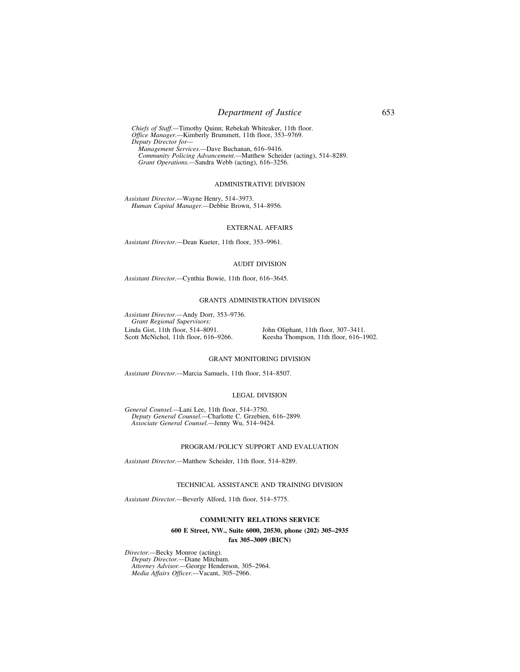# *Department of Justice* 653

*Chiefs of Staff.—*Timothy Quinn; Rebekah Whiteaker, 11th floor. *Office Manager.—*Kimberly Brummett, 11th floor, 353–9769. *Deputy Director for— Management Services.—*Dave Buchanan, 616–9416.

*Community Policing Advancement.—*Matthew Scheider (acting), 514–8289. *Grant Operations.—*Sandra Webb (acting), 616–3256.

### ADMINISTRATIVE DIVISION

*Assistant Director.—*Wayne Henry, 514–3973. *Human Capital Manager.—*Debbie Brown, 514–8956.

### EXTERNAL AFFAIRS

*Assistant Director.—*Dean Kueter, 11th floor, 353–9961.

#### AUDIT DIVISION

*Assistant Director.—*Cynthia Bowie, 11th floor, 616–3645.

## GRANTS ADMINISTRATION DIVISION

*Assistant Director.—*Andy Dorr, 353–9736. *Grant Regional Supervisors:*  Linda Gist, 11th floor, 514–8091. John Oliphant, 11th floor, 307–3411.<br>Scott McNichol, 11th floor, 616–9266. Keesha Thompson, 11th floor, 616–1

Keesha Thompson, 11th floor, 616–1902.

### GRANT MONITORING DIVISION

*Assistant Director.—*Marcia Samuels, 11th floor, 514–8507.

### LEGAL DIVISION

*General Counsel.—*Lani Lee, 11th floor, 514–3750. *Deputy General Counsel.—*Charlotte C. Grzebien, 616–2899. *Associate General Counsel.—*Jenny Wu, 514–9424.

### PROGRAM / POLICY SUPPORT AND EVALUATION

*Assistant Director.—*Matthew Scheider, 11th floor, 514–8289.

#### TECHNICAL ASSISTANCE AND TRAINING DIVISION

*Assistant Director.—*Beverly Alford, 11th floor, 514–5775.

### **COMMUNITY RELATIONS SERVICE**

## **600 E Street, NW., Suite 6000, 20530, phone (202) 305–2935 fax 305–3009 (BICN)**

*Director.—*Becky Monroe (acting). *Deputy Director.—*Diane Mitchum. *Attorney Advisor.—*George Henderson, 305–2964. *Media Affairs Officer.—*Vacant, 305–2966.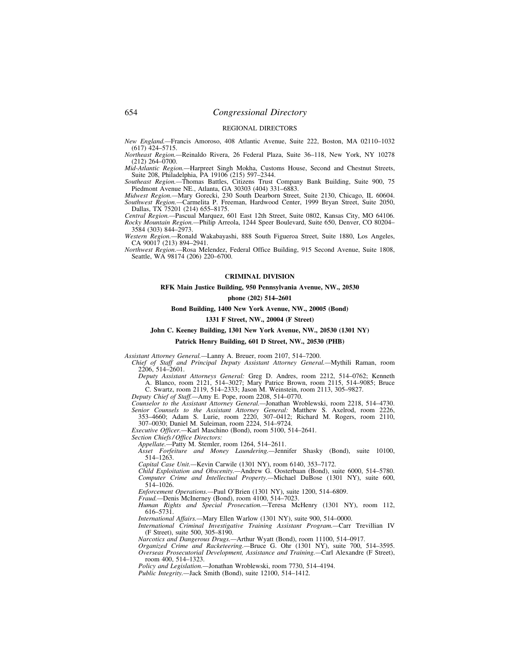### REGIONAL DIRECTORS

*New England.—*Francis Amoroso, 408 Atlantic Avenue, Suite 222, Boston, MA 02110–1032 (617) 424–5715.

*Northeast Region.—*Reinaldo Rivera, 26 Federal Plaza, Suite 36–118, New York, NY 10278 (212) 264–0700.

*Mid-Atlantic Region.—*Harpreet Singh Mokha, Customs House, Second and Chestnut Streets, Suite 208, Philadelphia, PA 19106 (215) 597–2344. *Southeast Region.—*Thomas Battles, Citizens Trust Company Bank Building, Suite 900, 75

Piedmont Avenue NE., Atlanta, GA 30303 (404) 331–6883.

*Midwest Region.—*Mary Gorecki, 230 South Dearborn Street, Suite 2130, Chicago, IL 60604. *Southwest Region.—*Carmelita P. Freeman, Hardwood Center, 1999 Bryan Street, Suite 2050, Dallas, TX 75201 (214) 655–8175.

*Central Region.—*Pascual Marquez, 601 East 12th Street, Suite 0802, Kansas City, MO 64106. *Rocky Mountain Region.—*Philip Arreola, 1244 Speer Boulevard, Suite 650, Denver, CO 80204– 3584 (303) 844–2973.

*Western Region.—*Ronald Wakabayashi, 888 South Figueroa Street, Suite 1880, Los Angeles, CA 90017 (213) 894–2941.

*Northwest Region.—*Rosa Melendez, Federal Office Building, 915 Second Avenue, Suite 1808, Seattle, WA 98174 (206) 220–6700.

### **CRIMINAL DIVISION**

### **RFK Main Justice Building, 950 Pennsylvania Avenue, NW., 20530**

### **phone (202) 514–2601**

## **Bond Building, 1400 New York Avenue, NW., 20005 (Bond)**

#### **1331 F Street, NW., 20004 (F Street)**

### **John C. Keeney Building, 1301 New York Avenue, NW., 20530 (1301 NY)**

### **Patrick Henry Building, 601 D Street, NW., 20530 (PHB)**

*Assistant Attorney General.—*Lanny A. Breuer, room 2107, 514–7200.

*Chief of Staff and Principal Deputy Assistant Attorney General.—*Mythili Raman, room 2206, 514–2601.

*Deputy Assistant Attorneys General:* Greg D. Andres, room 2212, 514–0762; Kenneth A. Blanco, room 2121, 514–3027; Mary Patrice Brown, room 2115, 514–9085; Bruce C. Swartz, room 2119, 514–2333; Jason M. Weinstein, room 2113, 305–9827.

*Deputy Chief of Staff.—*Amy E. Pope, room 2208, 514–0770.

*Counselor to the Assistant Attorney General.—*Jonathan Wroblewski, room 2218, 514–4730. *Senior Counsels to the Assistant Attorney General:* Matthew S. Axelrod, room 2226,

353–4660; Adam S. Lurie, room 2220, 307–0412; Richard M. Rogers, room 2110, 307–0030; Daniel M. Suleiman, room 2224, 514–9724.

*Executive Officer.—*Karl Maschino (Bond), room 5100, 514–2641.

*Section Chiefs / Office Directors:* 

*Appellate.—*Patty M. Stemler, room 1264, 514–2611.

*Asset Forfeiture and Money Laundering.—*Jennifer Shasky (Bond), suite 10100, 514–1263.

*Capital Case Unit.—*Kevin Carwile (1301 NY), room 6140, 353–7172.

*Child Exploitation and Obscenity.—*Andrew G. Oosterbaan (Bond), suite 6000, 514–5780. *Computer Crime and Intellectual Property.—*Michael DuBose (1301 NY), suite 600,  $514 - 1026$ .

*Enforcement Operations.—*Paul O'Brien (1301 NY), suite 1200, 514–6809.

*Fraud.—*Denis McInerney (Bond), room 4100, 514–7023.

*Human Rights and Special Prosecution.—*Teresa McHenry (1301 NY), room 112, 616–5731.

*International Affairs.—*Mary Ellen Warlow (1301 NY), suite 900, 514–0000.

*International Criminal Investigative Training Assistant Program.—*Carr Trevillian IV (F Street), suite 500, 305–8190.

*Narcotics and Dangerous Drugs.—*Arthur Wyatt (Bond), room 11100, 514–0917.

*Organized Crime and Racketeering.—*Bruce G. Ohr (1301 NY), suite 700, 514–3595. *Overseas Prosecutorial Development, Assistance and Training.—*Carl Alexandre (F Street), room 400, 514–1323.

*Policy and Legislation.—*Jonathan Wroblewski, room 7730, 514–4194.

*Public Integrity.—*Jack Smith (Bond), suite 12100, 514–1412.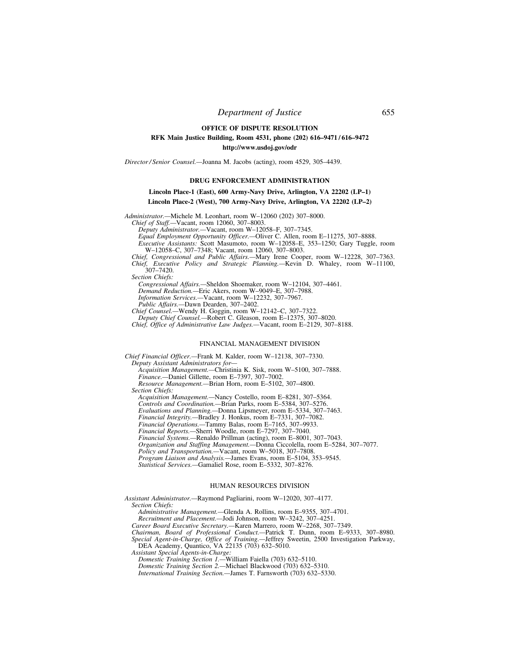# **OFFICE OF DISPUTE RESOLUTION RFK Main Justice Building, Room 4531, phone (202) 616–9471 / 616–9472 http://www.usdoj.gov/odr**

*Director / Senior Counsel.—*Joanna M. Jacobs (acting), room 4529, 305–4439.

## **DRUG ENFORCEMENT ADMINISTRATION**

### **Lincoln Place-1 (East), 600 Army-Navy Drive, Arlington, VA 22202 (LP–1)**

## **Lincoln Place-2 (West), 700 Army-Navy Drive, Arlington, VA 22202 (LP–2)**

*Administrator.—*Michele M. Leonhart, room W–12060 (202) 307–8000.

*Chief of Staff.—*Vacant, room 12060, 307–8003.

*Deputy Administrator.—*Vacant, room W–12058–F, 307–7345.

*Equal Employment Opportunity Officer.—*Oliver C. Allen, room E–11275, 307–8888.

*Executive Assistants:* Scott Masumoto, room W–12058–E, 353–1250; Gary Tuggle, room W–12058–C, 307–7348; Vacant, room 12060, 307–8003.

*Chief, Congressional and Public Affairs.—*Mary Irene Cooper, room W–12228, 307–7363. *Chief, Executive Policy and Strategic Planning.—*Kevin D. Whaley, room W–11100, 307–7420.

*Section Chiefs:* 

*Congressional Affairs.—*Sheldon Shoemaker, room W–12104, 307–4461. *Demand Reduction.—*Eric Akers, room W–9049–E, 307–7988.

*Information Services.—*Vacant, room W–12232, 307–7967.

*Public Affairs.—*Dawn Dearden, 307–2402.

*Chief Counsel.—*Wendy H. Goggin, room W–12142–C, 307–7322. *Deputy Chief Counsel.—*Robert C. Gleason, room E–12375, 307–8020.

*Chief, Office of Administrative Law Judges.—*Vacant, room E–2129, 307–8188.

#### FINANCIAL MANAGEMENT DIVISION

*Chief Financial Officer.—*Frank M. Kalder, room W–12138, 307–7330. *Deputy Assistant Administrators for— Acquisition Management.—*Christinia K. Sisk, room W–5100, 307–7888.

*Finance.—*Daniel Gillette, room E–7397, 307–7002. *Resource Management.—*Brian Horn, room E–5102, 307–4800. *Section Chiefs:* 

*Acquisition Management.—*Nancy Costello, room E–8281, 307–5364.

*Controls and Coordination.—*Brian Parks, room E–5384, 307–5276.

*Evaluations and Planning.—*Donna Lipsmeyer, room E–5334, 307–7463.

*Financial Integrity.—*Bradley J. Honkus, room E–7331, 307–7082.

*Financial Operations.—*Tammy Balas, room E–7165, 307–9933.

*Financial Reports.—*Sherri Woodle, room E–7297, 307–7040.

*Financial Systems.—*Renaldo Prillman (acting), room E–8001, 307–7043. *Organization and Staffing Management.—*Donna Ciccolella, room E–5284, 307–7077.

*Policy and Transportation.—*Vacant, room W–5018, 307–7808.

*Program Liaison and Analysis.—*James Evans, room E–5104, 353–9545.

*Statistical Services.—*Gamaliel Rose, room E–5332, 307–8276.

### HUMAN RESOURCES DIVISION

*Assistant Administrator.—*Raymond Pagliarini, room W–12020, 307–4177. *Section Chiefs:* 

*Administrative Management.—*Glenda A. Rollins, room E–9355, 307–4701.

*Recruitment and Placement.—*Jodi Johnson, room W–3242, 307–4251.

*Career Board Executive Secretary.—*Karen Marrero, room W–2268, 307–7349.

*Chairman, Board of Professional Conduct.—*Patrick T. Dunn, room E–9333, 307–8980.

*Special Agent-in-Charge, Office of Training.—*Jeffrey Sweetin, 2500 Investigation Parkway, DEA Academy, Quantico, VA 22135 (703) 632–5010.

*Assistant Special Agents-in-Charge:* 

*Domestic Training Section 1.—*William Faiella (703) 632–5110. *Domestic Training Section 2.—*Michael Blackwood (703) 632–5310.

*International Training Section.—*James T. Farnsworth (703) 632–5330.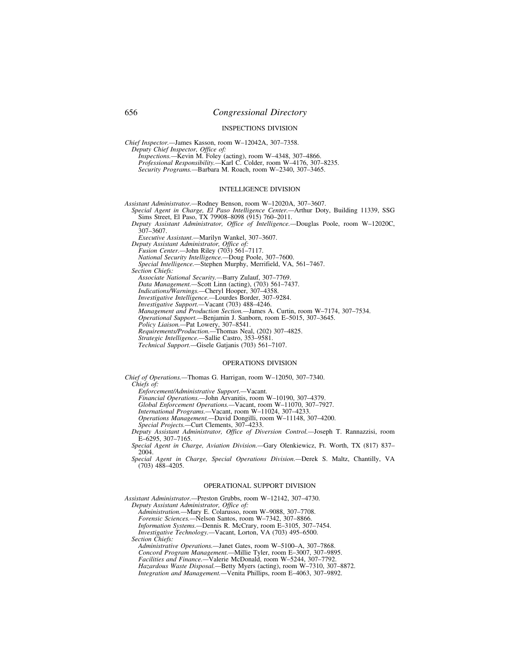#### INSPECTIONS DIVISION

*Chief Inspector.—*James Kasson, room W–12042A, 307–7358. *Deputy Chief Inspector, Office of:* 

*Inspections.—*Kevin M. Foley (acting), room W–4348, 307–4866. *Professional Responsibility.—*Karl C. Colder, room W–4176, 307–8235. *Security Programs.—*Barbara M. Roach, room W–2340, 307–3465.

### INTELLIGENCE DIVISION

*Assistant Administrator.—*Rodney Benson, room W–12020A, 307–3607.

- *Special Agent in Charge, El Paso Intelligence Center.—*Arthur Doty, Building 11339, SSG Sims Street, El Paso, TX 79908-8098 (915) 760-2011.
- *Deputy Assistant Administrator, Office of Intelligence.—*Douglas Poole, room W–12020C,  $307 - 3607$ .

*Executive Assistant.—*Marilyn Wankel, 307–3607.

*Deputy Assistant Administrator, Office of:* 

- *Fusion Center.—*John Riley (703) 561–7117.
- *National Security Intelligence.—*Doug Poole, 307–7600.

*Special Intelligence.—*Stephen Murphy, Merrifield, VA, 561–7467.

*Section Chiefs:* 

*Associate National Security.—*Barry Zulauf, 307–7769.

*Data Management.—*Scott Linn (acting), (703) 561–7437.

*Indications/Warnings.—*Cheryl Hooper, 307–4358.

*Investigative Intelligence.—*Lourdes Border, 307–9284.

*Investigative Support.—*Vacant (703) 488–4246.

*Management and Production Section.—*James A. Curtin, room W–7174, 307–7534.

*Operational Support.—*Benjamin J. Sanborn, room E–5015, 307–3645.

*Policy Liaison.—*Pat Lowery, 307–8541.

*Requirements/Production.—*Thomas Neal, (202) 307–4825. *Strategic Intelligence.—*Sallie Castro, 353–9581.

*Technical Support.—*Gisele Gatjanis (703) 561–7107.

## OPERATIONS DIVISION

*Chief of Operations.—*Thomas G. Harrigan, room W–12050, 307–7340. *Chiefs of:* 

*Enforcement/Administrative Support.—*Vacant.

*Financial Operations.—*John Arvanitis, room W–10190, 307–4379.

*Global Enforcement Operations.—*Vacant, room W–11070, 307–7927.

*International Programs.—*Vacant, room W–11024, 307–4233.

*Operations Management.—*David Dongilli, room W–11148, 307–4200.

*Special Projects.—*Curt Clements, 307–4233.

*Deputy Assistant Administrator, Office of Diversion Control.—*Joseph T. Rannazzisi, room  $E-6295, 307-7165.$ 

*Special Agent in Charge, Aviation Division.—*Gary Olenkiewicz, Ft. Worth, TX (817) 837– 2004.

*Special Agent in Charge, Special Operations Division.—*Derek S. Maltz, Chantilly, VA (703) 488–4205.

#### OPERATIONAL SUPPORT DIVISION

*Assistant Administrator.—*Preston Grubbs, room W–12142, 307–4730. *Deputy Assistant Administrator, Office of:* 

*Administration.—*Mary E. Colarusso, room W–9088, 307–7708.

*Forensic Sciences.—*Nelson Santos, room W–7342, 307–8866.

*Information Systems.—*Dennis R. McCrary, room E–3105, 307–7454.

*Investigative Technology.—*Vacant, Lorton, VA (703) 495–6500.

*Section Chiefs:* 

*Administrative Operations.—*Janet Gates, room W–5100–A, 307–7868. *Concord Program Management.—*Millie Tyler, room E–3007, 307–9895. *Facilities and Finance.—*Valerie McDonald, room W–5244, 307–7792. *Hazardous Waste Disposal.—*Betty Myers (acting), room W–7310, 307–8872. *Integration and Management.—*Venita Phillips, room E–4063, 307–9892.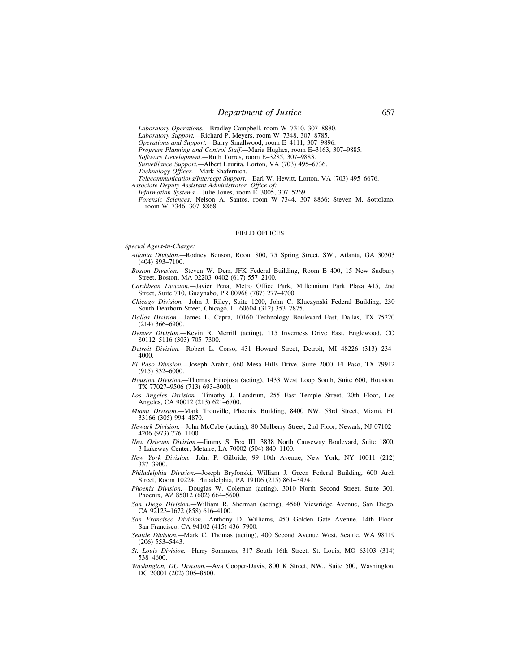*Laboratory Operations.—*Bradley Campbell, room W–7310, 307–8880.

*Laboratory Support.—*Richard P. Meyers, room W–7348, 307–8785.

*Operations and Support.—*Barry Smallwood, room E–4111, 307–9896.

*Program Planning and Control Staff.—*Maria Hughes, room E–3163, 307–9885.

*Software Development.—*Ruth Torres, room E–3285, 307–9883.

*Surveillance Support.—*Albert Laurita, Lorton, VA (703) 495–6736.

*Technology Officer.—*Mark Shafernich.

*Telecommunications/Intercept Support.—*Earl W. Hewitt, Lorton, VA (703) 495–6676.

*Associate Deputy Assistant Administrator, Office of: Information Systems.—*Julie Jones, room E–3005, 307–5269.

*Forensic Sciences:* Nelson A. Santos, room W–7344, 307–8866; Steven M. Sottolano,

room W–7346, 307–8868.

#### FIELD OFFICES

*Special Agent-in-Charge:* 

*Atlanta Division.—*Rodney Benson, Room 800, 75 Spring Street, SW., Atlanta, GA 30303 (404) 893–7100.

*Boston Division.—*Steven W. Derr, JFK Federal Building, Room E–400, 15 New Sudbury Street, Boston, MA 02203–0402 (617) 557–2100.

*Caribbean Division.—*Javier Pena, Metro Office Park, Millennium Park Plaza #15, 2nd Street, Suite 710, Guaynabo, PR 00968 (787) 277–4700.

*Chicago Division.—*John J. Riley, Suite 1200, John C. Kluczynski Federal Building, 230 South Dearborn Street, Chicago, IL 60604 (312) 353–7875.

*Dallas Division.—*James L. Capra, 10160 Technology Boulevard East, Dallas, TX 75220 (214) 366–6900.

*Denver Division.—*Kevin R. Merrill (acting), 115 Inverness Drive East, Englewood, CO 80112–5116 (303) 705–7300.

*Detroit Division.—*Robert L. Corso, 431 Howard Street, Detroit, MI 48226 (313) 234– 4000.

*El Paso Division.—*Joseph Arabit, 660 Mesa Hills Drive, Suite 2000, El Paso, TX 79912 (915) 832–6000.

*Houston Division.—*Thomas Hinojosa (acting), 1433 West Loop South, Suite 600, Houston, TX 77027–9506 (713) 693–3000.

*Los Angeles Division.—*Timothy J. Landrum, 255 East Temple Street, 20th Floor, Los Angeles, CA 90012 (213) 621–6700.

*Miami Division.—*Mark Trouville, Phoenix Building, 8400 NW. 53rd Street, Miami, FL 33166 (305) 994–4870.

*Newark Division.—*John McCabe (acting), 80 Mulberry Street, 2nd Floor, Newark, NJ 07102– 4206 (973) 776–1100.

*New Orleans Division.—*Jimmy S. Fox III, 3838 North Causeway Boulevard, Suite 1800, 3 Lakeway Center, Metaire, LA 70002 (504) 840–1100.

*New York Division.—*John P. Gilbride, 99 10th Avenue, New York, NY 10011 (212) 337–3900.

*Philadelphia Division.—*Joseph Bryfonski, William J. Green Federal Building, 600 Arch Street, Room 10224, Philadelphia, PA 19106 (215) 861–3474.

*Phoenix Division.—*Douglas W. Coleman (acting), 3010 North Second Street, Suite 301, Phoenix, AZ 85012 (602) 664-5600.

*San Diego Division.—*William R. Sherman (acting), 4560 Viewridge Avenue, San Diego, CA 92123–1672 (858) 616–4100.

*San Francisco Division.—*Anthony D. Williams, 450 Golden Gate Avenue, 14th Floor, San Francisco, CA 94102 (415) 436–7900.

*Seattle Division.—*Mark C. Thomas (acting), 400 Second Avenue West, Seattle, WA 98119 (206) 553–5443.

*St. Louis Division.—*Harry Sommers, 317 South 16th Street, St. Louis, MO 63103 (314) 538–4600.

*Washington, DC Division.—*Ava Cooper-Davis, 800 K Street, NW., Suite 500, Washington, DC 20001 (202) 305-8500.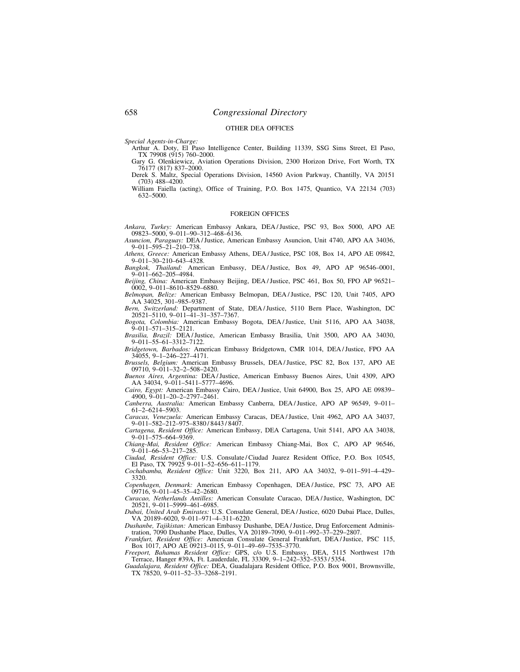### OTHER DEA OFFICES

*Special Agents-in-Charge:* 

Arthur A. Doty, El Paso Intelligence Center, Building 11339, SSG Sims Street, El Paso, TX 79908 (915) 760–2000.

Gary G. Olenkiewicz, Aviation Operations Division, 2300 Horizon Drive, Fort Worth, TX 76177 (817) 837–2000. Derek S. Maltz, Special Operations Division, 14560 Avion Parkway, Chantilly, VA 20151

(703) 488–4200. William Faiella (acting), Office of Training, P.O. Box 1475, Quantico, VA 22134 (703)

632–5000.

### FOREIGN OFFICES

*Ankara, Turkey:* American Embassy Ankara, DEA / Justice, PSC 93, Box 5000, APO AE 09823–5000, 9–011–90–312–468–6136.

*Asuncion, Paraguay:* DEA / Justice, American Embassy Asuncion, Unit 4740, APO AA 34036, 9–011–595–21–210–738.

*Athens, Greece:* American Embassy Athens, DEA / Justice, PSC 108, Box 14, APO AE 09842, 9–011–30–210–643–4328.

*Bangkok, Thailand:* American Embassy, DEA / Justice, Box 49, APO AP 96546–0001, 9–011–662–205–4984.

*Beijing, China:* American Embassy Beijing, DEA / Justice, PSC 461, Box 50, FPO AP 96521– 0002, 9–011–8610–8529–6880.

*Belmopan, Belize:* American Embassy Belmopan, DEA / Justice, PSC 120, Unit 7405, APO AA 34025, 301–985–9387.

*Bern, Switzerland:* Department of State, DEA / Justice, 5110 Bern Place, Washington, DC 20521–5110, 9–011–41–31–357–7367.

*Bogota, Colombia:* American Embassy Bogota, DEA / Justice, Unit 5116, APO AA 34038, 9–011–571–315–2121.

*Brasilia, Brazil:* DEA / Justice, American Embassy Brasilia, Unit 3500, APO AA 34030, 9–011–55–61–3312–7122.

*Bridgetown, Barbados:* American Embassy Bridgetown, CMR 1014, DEA / Justice, FPO AA 34055, 9–1–246–227–4171.

*Brussels, Belgium:* American Embassy Brussels, DEA / Justice, PSC 82, Box 137, APO AE 09710, 9–011–32–2–508–2420.

*Buenos Aires, Argentina:* DEA / Justice, American Embassy Buenos Aires, Unit 4309, APO AA 34034, 9–011–5411–5777–4696. *Cairo, Egypt:* American Embassy Cairo, DEA / Justice, Unit 64900, Box 25, APO AE 09839–

4900, 9–011–20–2–2797–2461. *Canberra, Australia:* American Embassy Canberra, DEA / Justice, APO AP 96549, 9–011–

61–2–6214–5903. *Caracas, Venezuela:* American Embassy Caracas, DEA / Justice, Unit 4962, APO AA 34037,

9–011–582–212–975–8380 / 8443 / 8407. *Cartagena, Resident Office:* American Embassy, DEA Cartagena, Unit 5141, APO AA 34038,

9–011–575–664–9369. *Chiang-Mai, Resident Office:* American Embassy Chiang-Mai, Box C, APO AP 96546,  $9 - 011 - 66 - 53 - 217 - 285$ .

*Ciudad, Resident Office:* U.S. Consulate / Ciudad Juarez Resident Office, P.O. Box 10545, El Paso, TX 79925 9–011–52–656–611–1179.

*Cochabamba, Resident Office:* Unit 3220, Box 211, APO AA 34032, 9–011–591–4–429– 3320.

*Copenhagen, Denmark:* American Embassy Copenhagen, DEA / Justice, PSC 73, APO AE 09716, 9–011–45–35–42–2680.

*Curacao, Netherlands Antilles:* American Consulate Curacao, DEA / Justice, Washington, DC 20521, 9–011–5999–461–6985.

*Dubai, United Arab Emirates:* U.S. Consulate General, DEA / Justice, 6020 Dubai Place, Dulles, VA 20189–6020, 9–011–971–4–311–6220.

*Dushanbe, Tajikistan:* American Embassy Dushanbe, DEA / Justice, Drug Enforcement Administration, 7090 Dushanbe Place, Dulles, VA 20189–7090, 9–011–992–37–229–2807.

*Frankfurt, Resident Office:* American Consulate General Frankfurt, DEA / Justice, PSC 115, Box 1017, APO AE 09213–0115, 9–011–49–69–7535–3770.

*Freeport, Bahamas Resident Office:* GPS, c/o U.S. Embassy, DEA, 5115 Northwest 17th Terrace, Hanger #39A, Ft. Lauderdale, FL 33309, 9–1–242–352–5353 / 5354.

*Guadalajara, Resident Office:* DEA, Guadalajara Resident Office, P.O. Box 9001, Brownsville, TX 78520, 9–011–52–33–3268–2191.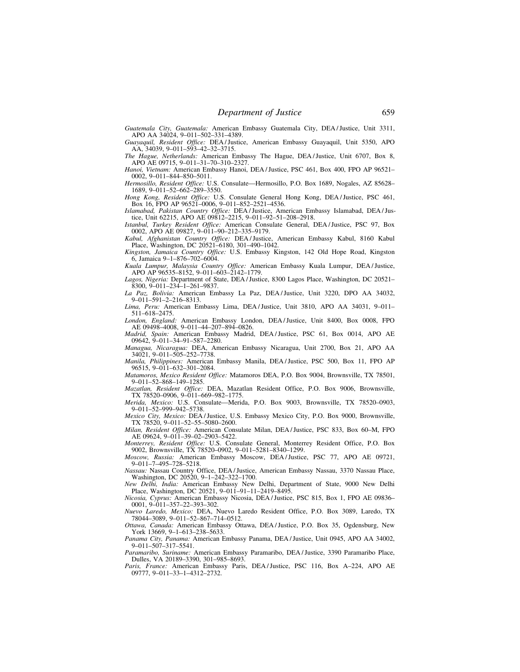*Guatemala City, Guatemala:* American Embassy Guatemala City, DEA / Justice, Unit 3311, APO AA 34024, 9–011–502–331–4389.

*Guayaquil, Resident Office:* DEA / Justice, American Embassy Guayaquil, Unit 5350, APO AA, 34039, 9–011–593–42–32–3715.

*The Hague, Netherlands:* American Embassy The Hague, DEA / Justice, Unit 6707, Box 8, APO AE 09715, 9–011–31–70–310–2327.

*Hanoi, Vietnam:* American Embassy Hanoi, DEA / Justice, PSC 461, Box 400, FPO AP 96521– 0002, 9–011–844–850–5011.

*Hermosillo, Resident Office:* U.S. Consulate—Hermosillo, P.O. Box 1689, Nogales, AZ 85628– 1689, 9–011–52–662–289–3550.

*Hong Kong, Resident Office:* U.S. Consulate General Hong Kong, DEA / Justice, PSC 461, Box 16, FPO AP 96521–0006, 9–011–852–2521–4536.

*Islamabad, Pakistan Country Office:* DEA / Justice, American Embassy Islamabad, DEA / Justice, Unit 62215, APO AE 09812–2215, 9–011–92–51–208–2918.

*Istanbul, Turkey Resident Office:* American Consulate General, DEA / Justice, PSC 97, Box 0002, APO AE 09827, 9–011–90–212–335–9179.

*Kabul, Afghanistan Country Office:* DEA / Justice, American Embassy Kabul, 8160 Kabul Place, Washington, DC 20521–6180, 301–490–1042.

*Kingston, Jamaica Country Office:* U.S. Embassy Kingston, 142 Old Hope Road, Kingston 6, Jamaica 9–1–876–702–6004.

*Kuala Lumpur, Malaysia Country Office:* American Embassy Kuala Lumpur, DEA / Justice, APO AP 96535–8152, 9–011–603–2142–1779.

*Lagos, Nigeria:* Department of State, DEA / Justice, 8300 Lagos Place, Washington, DC 20521– 8300, 9–011–234–1–261–9837.

*La Paz, Bolivia:* American Embassy La Paz, DEA / Justice, Unit 3220, DPO AA 34032, 9–011–591–2–216–8313.

*Lima, Peru:* American Embassy Lima, DEA / Justice, Unit 3810, APO AA 34031, 9–011– 511–618–2475.

*London, England:* American Embassy London, DEA / Justice, Unit 8400, Box 0008, FPO AE 09498–4008, 9–011–44–207–894–0826. *Madrid, Spain:* American Embassy Madrid, DEA / Justice, PSC 61, Box 0014, APO AE

09642, 9–011–34–91–587–2280. *Managua, Nicaragua:* DEA, American Embassy Nicaragua, Unit 2700, Box 21, APO AA

34021, 9–011–505–252–7738. *Manila, Philippines:* American Embassy Manila, DEA / Justice, PSC 500, Box 11, FPO AP

96515, 9–011–632–301–2084. *Matamoros, Mexico Resident Office:* Matamoros DEA, P.O. Box 9004, Brownsville, TX 78501,

9–011–52–868–149–1285. *Mazatlan, Resident Office:* DEA, Mazatlan Resident Office, P.O. Box 9006, Brownsville,

TX 78520-0906, 9-011-669-982-1775. *Merida, Mexico:* U.S. Consulate—Merida, P.O. Box 9003, Brownsville, TX 78520–0903, 9–011–52–999–942–5738.

*Mexico City, Mexico:* DEA / Justice, U.S. Embassy Mexico City, P.O. Box 9000, Brownsville, TX 78520, 9–011–52–55–5080–2600.

*Milan, Resident Office:* American Consulate Milan, DEA / Justice, PSC 833, Box 60–M, FPO AE 09624, 9–011–39–02–2903–5422.

*Monterrey, Resident Office:* U.S. Consulate General, Monterrey Resident Office, P.O. Box 9002, Brownsville, TX 78520–0902, 9–011–5281–8340–1299.

*Moscow, Russia:* American Embassy Moscow, DEA / Justice, PSC 77, APO AE 09721, 9–011–7–495–728–5218.

*Nassau:* Nassau Country Office, DEA / Justice, American Embassy Nassau, 3370 Nassau Place, Washington, DC 20520, 9–1–242–322–1700.

*New Delhi, India:* American Embassy New Delhi, Department of State, 9000 New Delhi Place, Washington, DC 20521, 9–011–91–11–2419–8495.

*Nicosia, Cyprus:* American Embassy Nicosia, DEA / Justice, PSC 815, Box 1, FPO AE 09836– 0001, 9–011–357–22–393–302.

*Nuevo Laredo, Mexico:* DEA, Nuevo Laredo Resident Office, P.O. Box 3089, Laredo, TX 78044–3089, 9–011–52–867–714–0512.

*Ottawa, Canada:* American Embassy Ottawa, DEA / Justice, P.O. Box 35, Ogdensburg, New York 13669, 9–1–613–238–5633. *Panama City, Panama:* American Embassy Panama, DEA / Justice, Unit 0945, APO AA 34002,

9–011–507–317–5541.

*Paramaribo, Suriname:* American Embassy Paramaribo, DEA / Justice, 3390 Paramaribo Place, Dulles, VA 20189–3390, 301–985–8693.

*Paris, France:* American Embassy Paris, DEA / Justice, PSC 116, Box A–224, APO AE 09777, 9–011–33–1–4312–2732.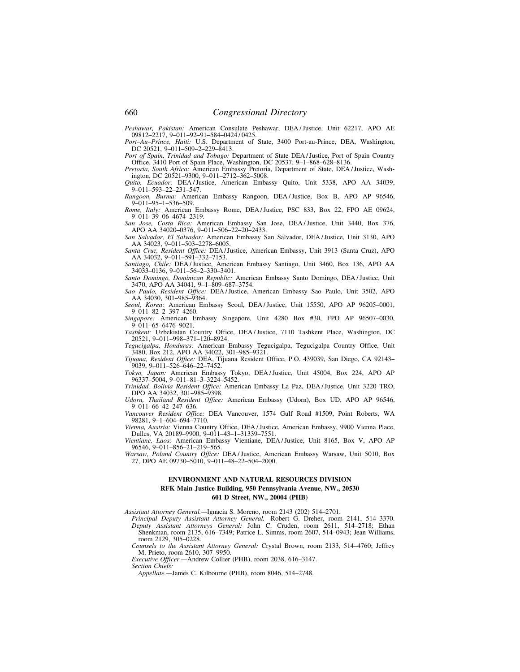*Peshawar, Pakistan:* American Consulate Peshawar, DEA / Justice, Unit 62217, APO AE 09812–2217, 9–011–92–91–584–0424 / 0425.

*Port–Au–Prince, Haiti:* U.S. Department of State, 3400 Port-au-Prince, DEA, Washington, DC 20521, 9–011–509–2–229–8413.

*Port of Spain, Trinidad and Tobago:* Department of State DEA / Justice, Port of Spain Country Office, 3410 Port of Spain Place, Washington, DC 20537, 9–1–868–628–8136.

*Pretoria, South Africa:* American Embassy Pretoria, Department of State, DEA / Justice, Washington, DC 20521–9300, 9–011–2712–362–5008.

*Quito, Ecuador:* DEA / Justice, American Embassy Quito, Unit 5338, APO AA 34039, 9–011–593–22–231–547.

*Rangoon, Burma:* American Embassy Rangoon, DEA / Justice, Box B, APO AP 96546, 9–011–95–1–536–509.

*Rome, Italy:* American Embassy Rome, DEA / Justice, PSC 833, Box 22, FPO AE 09624, 9–011–39–06–4674–2319.

*San Jose, Costa Rica:* American Embassy San Jose, DEA / Justice, Unit 3440, Box 376, APO AA 34020–0376, 9–011–506–22–20–2433.

*San Salvador, El Salvador:* American Embassy San Salvador, DEA / Justice, Unit 3130, APO AA 34023, 9–011–503–2278–6005. *Santa Cruz, Resident Office:* DEA / Justice, American Embassy, Unit 3913 (Santa Cruz), APO

AA 34032, 9-011-591-332-7153.

*Santiago, Chile:* DEA / Justice, American Embassy Santiago, Unit 3460, Box 136, APO AA 34033–0136, 9–011–56–2–330–3401. *Santo Domingo, Dominican Republic:* American Embassy Santo Domingo, DEA / Justice, Unit

3470, APO AA 34041, 9–1–809–687–3754. *Sao Paulo, Resident Office:* DEA / Justice, American Embassy Sao Paulo, Unit 3502, APO

AA 34030, 301–985–9364. *Seoul, Korea:* American Embassy Seoul, DEA / Justice, Unit 15550, APO AP 96205–0001,

9–011–82–2–397–4260. *Singapore:* American Embassy Singapore, Unit 4280 Box #30, FPO AP 96507–0030, 9–011–65–6476–9021.

*Tashkent:* Uzbekistan Country Office, DEA / Justice, 7110 Tashkent Place, Washington, DC 20521, 9–011–998–371–120–8924.

*Tegucigalpa, Honduras:* American Embassy Tegucigalpa, Tegucigalpa Country Office, Unit 3480, Box 212, APO AA 34022, 301–985–9321.

*Tijuana, Resident Office:* DEA, Tijuana Resident Office, P.O. 439039, San Diego, CA 92143– 9039, 9–011–526–646–22–7452.

*Tokyo, Japan:* American Embassy Tokyo, DEA / Justice, Unit 45004, Box 224, APO AP 96337–5004, 9–011–81–3–3224–5452.

*Trinidad, Bolivia Resident Office:* American Embassy La Paz, DEA / Justice, Unit 3220 TRO, DPO AA 34032, 301–985–9398.

*Udorn, Thailand Resident Office:* American Embassy (Udorn), Box UD, APO AP 96546, 9–011–66–42–247–636.

*Vancouver Resident Office:* DEA Vancouver, 1574 Gulf Road #1509, Point Roberts, WA 98281, 9–1–604–694–7710.

*Vienna, Austria:* Vienna Country Office, DEA / Justice, American Embassy, 9900 Vienna Place, Dulles, VA 20189–9900, 9–011–43–1–31339–7551.

*Vientiane, Laos:* American Embassy Vientiane, DEA / Justice, Unit 8165, Box V, APO AP 96546, 9–011–856–21–219–565.

*Warsaw, Poland Country Office:* DEA / Justice, American Embassy Warsaw, Unit 5010, Box 27, DPO AE 09730–5010, 9–011–48–22–504–2000.

## **ENVIRONMENT AND NATURAL RESOURCES DIVISION RFK Main Justice Building, 950 Pennsylvania Avenue, NW., 20530 601 D Street, NW., 20004 (PHB)**

*Assistant Attorney General.—*Ignacia S. Moreno, room 2143 (202) 514–2701.

*Principal Deputy Assistant Attorney General.—*Robert G. Dreher, room 2141, 514–3370. *Deputy Assistant Attorneys General:* John C. Cruden, room 2611, 514–2718; Ethan Shenkman, room 2135, 616–7349; Patrice L. Simms, room 2607, 514–0943; Jean Williams, room 2129, 305–0228.

*Counsels to the Assistant Attorney General:* Crystal Brown, room 2133, 514–4760; Jeffrey M. Prieto, room 2610, 307–9950.

*Executive Officer.—*Andrew Collier (PHB), room 2038, 616–3147. *Section Chiefs:* 

*Appellate.—*James C. Kilbourne (PHB), room 8046, 514–2748.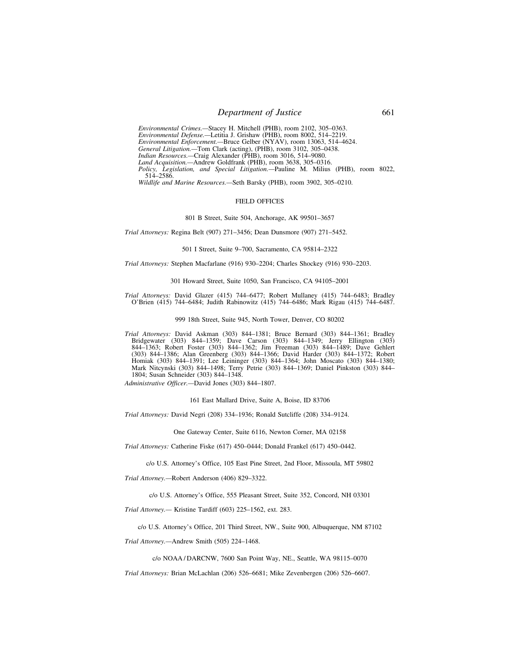# **Department of Justice** 661

*Environmental Crimes.—*Stacey H. Mitchell (PHB), room 2102, 305–0363. *Environmental Defense.—*Letitia J. Grishaw (PHB), room 8002, 514–2219. *Environmental Enforcement.—*Bruce Gelber (NYAV), room 13063, 514–4624. *General Litigation.—*Tom Clark (acting), (PHB), room 3102, 305–0438. *Indian Resources.*—Craig Alexander (PHB), room 3016, 514–9080. *Land Acquisition.—*Andrew Goldfrank (PHB), room 3638, 305–0316. *Policy, Legislation, and Special Litigation.—*Pauline M. Milius (PHB), room 8022, 514–2586.

*Wildlife and Marine Resources.—*Seth Barsky (PHB), room 3902, 305–0210.

### FIELD OFFICES

# 801 B Street, Suite 504, Anchorage, AK 99501–3657

*Trial Attorneys:* Regina Belt (907) 271–3456; Dean Dunsmore (907) 271–5452.

#### 501 I Street, Suite 9–700, Sacramento, CA 95814–2322

*Trial Attorneys:* Stephen Macfarlane (916) 930–2204; Charles Shockey (916) 930–2203.

# 301 Howard Street, Suite 1050, San Francisco, CA 94105–2001

*Trial Attorneys:* David Glazer (415) 744–6477; Robert Mullaney (415) 744–6483; Bradley O'Brien (415) 744–6484; Judith Rabinowitz (415) 744–6486; Mark Rigau (415) 744–6487.

#### 999 18th Street, Suite 945, North Tower, Denver, CO 80202

*Trial Attorneys:* David Askman (303) 844–1381; Bruce Bernard (303) 844–1361; Bradley Bridgewater (303) 844–1359; Dave Carson (303) 844–1349; Jerry Ellington (303) 844–1363; Robert Foster (303) 844–1362; Jim Freeman (303) 844–1489; Dave Gehlert (303) 844–1386; Alan Greenberg (303) 844–1366; David Harder (303) 844–1372; Robert Homiak (303) 844–1391; Lee Leininger (303) 844–1364; John Moscato (303) 844–1380; Mark Nitcynski (303) 844–1498; Terry Petrie (303) 844–1369; Daniel Pinkston (303) 844– 1804; Susan Schneider (303) 844–1348.

*Administrative Officer.—*David Jones (303) 844–1807.

161 East Mallard Drive, Suite A, Boise, ID 83706

*Trial Attorneys:* David Negri (208) 334–1936; Ronald Sutcliffe (208) 334–9124.

One Gateway Center, Suite 6116, Newton Corner, MA 02158

*Trial Attorneys:* Catherine Fiske (617) 450–0444; Donald Frankel (617) 450–0442.

c/o U.S. Attorney's Office, 105 East Pine Street, 2nd Floor, Missoula, MT 59802

*Trial Attorney.—*Robert Anderson (406) 829–3322.

c/o U.S. Attorney's Office, 555 Pleasant Street, Suite 352, Concord, NH 03301

*Trial Attorney.—* Kristine Tardiff (603) 225–1562, ext. 283.

c/o U.S. Attorney's Office, 201 Third Street, NW., Suite 900, Albuquerque, NM 87102

*Trial Attorney.—*Andrew Smith (505) 224–1468.

c/o NOAA / DARCNW, 7600 San Point Way, NE., Seattle, WA 98115–0070

*Trial Attorneys:* Brian McLachlan (206) 526–6681; Mike Zevenbergen (206) 526–6607.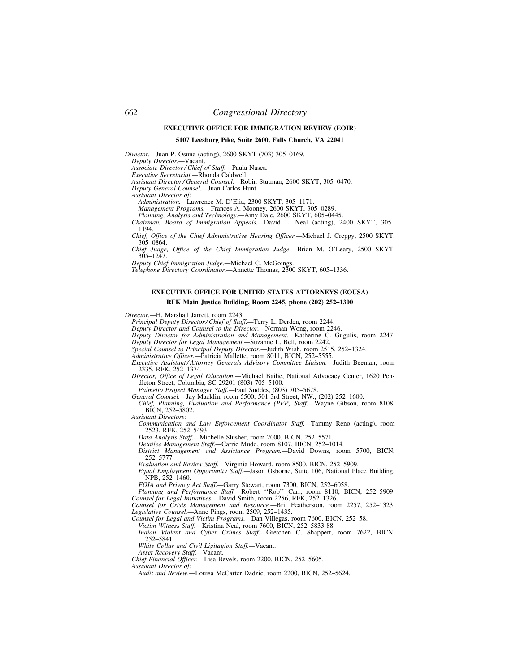## **EXECUTIVE OFFICE FOR IMMIGRATION REVIEW (EOIR)**

### **5107 Leesburg Pike, Suite 2600, Falls Church, VA 22041**

*Director.—*Juan P. Osuna (acting), 2600 SKYT (703) 305–0169.

*Deputy Director.—*Vacant.

*Associate Director / Chief of Staff.—*Paula Nasca.

*Executive Secretariat.—*Rhonda Caldwell.

*Assistant Director / General Counsel.—*Robin Stutman, 2600 SKYT, 305–0470.

*Deputy General Counsel.—*Juan Carlos Hunt.

*Assistant Director of:* 

*Administration.—*Lawrence M. D'Elia, 2300 SKYT, 305–1171.

*Management Programs.—*Frances A. Mooney, 2600 SKYT, 305–0289.

*Planning, Analysis and Technology.—*Amy Dale, 2600 SKYT, 605–0445. *Chairman, Board of Immigration Appeals.—*David L. Neal (acting), 2400 SKYT, 305– 1194.

*Chief, Office of the Chief Administrative Hearing Officer.—*Michael J. Creppy, 2500 SKYT, 305–0864.

*Chief Judge, Office of the Chief Immigration Judge.—*Brian M. O'Leary, 2500 SKYT, 305–1247.

*Deputy Chief Immigration Judge.—*Michael C. McGoings.

*Telephone Directory Coordinator.—*Annette Thomas, 2300 SKYT, 605–1336.

## **EXECUTIVE OFFICE FOR UNITED STATES ATTORNEYS (EOUSA) RFK Main Justice Building, Room 2245, phone (202) 252–1300**

*Director.—*H. Marshall Jarrett, room 2243.

*Principal Deputy Director / Chief of Staff.—*Terry L. Derden, room 2244.

*Deputy Director and Counsel to the Director.—*Norman Wong, room 2246.

*Deputy Director for Administration and Management.—*Katherine C. Gugulis, room 2247.

*Deputy Director for Legal Management.—*Suzanne L. Bell, room 2242.

*Special Counsel to Principal Deputy Director.—*Judith Wish, room 2515, 252–1324.

*Administrative Officer.—*Patricia Mallette, room 8011, BICN, 252–5555.

*Executive Assistant / Attorney Generals Advisory Committee Liaison.—*Judith Beeman, room 2335, RFK, 252–1374.

*Director, Office of Legal Education.—*Michael Bailie, National Advocacy Center, 1620 Pendleton Street, Columbia, SC 29201 (803) 705–5100.

*Palmetto Project Manager Staff.—*Paul Suddes, (803) 705–5678.

General Counsel.-Jay Macklin, room 5500, 501 3rd Street, NW., (202) 252-1600. *Chief, Planning, Evaluation and Performance (PEP) Staff.—*Wayne Gibson, room 8108, BICN, 252–5802.

*Assistant Directors:* 

*Communication and Law Enforcement Coordinator Staff.—*Tammy Reno (acting), room 2523, RFK, 252–5493.

*Data Analysis Staff.—*Michelle Slusher, room 2000, BICN, 252–5571.

*Detailee Management Staff.—*Carrie Mudd, room 8107, BICN, 252–1014.

*District Management and Assistance Program.—*David Downs, room 5700, BICN, 252–5777.

*Evaluation and Review Staff.—*Virginia Howard, room 8500, BICN, 252–5909.

*Equal Employment Opportunity Staff.—*Jason Osborne, Suite 106, National Place Building, NPB, 252–1460.

*FOIA and Privacy Act Staff.—*Garry Stewart, room 7300, BICN, 252–6058.

*Planning and Performance Staff.—*Robert ''Rob'' Carr, room 8110, BICN, 252–5909. *Counsel for Legal Initiatives.—*David Smith, room 2256, RFK, 252–1326.

*Counsel for Crisis Management and Resource.—*Brit Featherston, room 2257, 252–1323. *Legislative Counsel.—*Anne Pings, room 2509, 252–1435.

*Counsel for Legal and Victim Programs.—*Dan Villegas, room 7600, BICN, 252–58.

*Victim Witness Staff.—*Kristina Neal, room 7600, BICN, 252–5833 88.

*Indian Violent and Cyber Crimes Staff.—*Gretchen C. Shappert, room 7622, BICN, 252–5841.

*White Collar and Civil Ligitagion Staff.—*Vacant.

*Asset Recovery Staff.—*Vacant.

*Chief Financial Officer.—*Lisa Bevels, room 2200, BICN, 252–5605.

*Assistant Director of:* 

*Audit and Review.—*Louisa McCarter Dadzie, room 2200, BICN, 252–5624.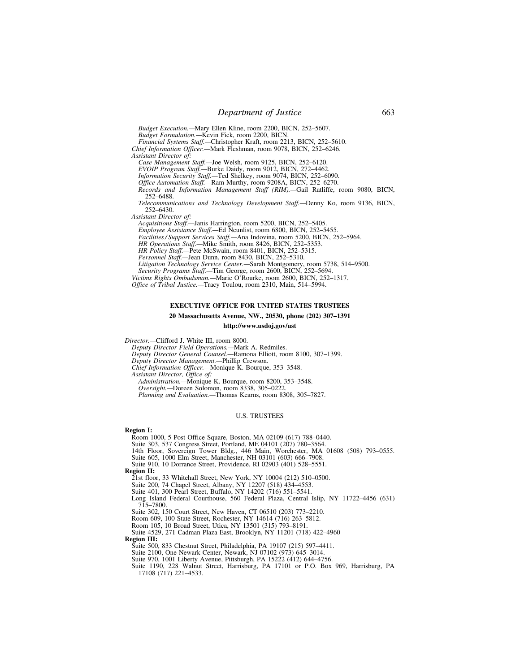*Budget Execution.—*Mary Ellen Kline, room 2200, BICN, 252–5607. *Budget Formulation.—*Kevin Fick, room 2200, BICN.

*Financial Systems Staff.—*Christopher Kraft, room 2213, BICN, 252–5610.

*Chief Information Officer.—*Mark Fleshman, room 9078, BICN, 252–6246. *Assistant Director of:* 

*Case Management Staff.—*Joe Welsh, room 9125, BICN, 252–6120.

*EVOIP Program Staff.—*Burke Daidy, room 9012, BICN, 272–4462.

*Information Security Staff.—*Ted Shelkey, room 9074, BICN, 252–6090.

*Office Automation Staff.—*Ram Murthy, room 9208A, BICN, 252–6270.

*Records and Information Management Staff (RIM).—*Gail Ratliffe, room 9080, BICN, 252–6488.

*Telecommunications and Technology Development Staff.—*Denny Ko, room 9136, BICN, 252–6430.

*Assistant Director of:* 

*Acquisitions Staff.—*Janis Harrington, room 5200, BICN, 252–5405.

*Employee Assistance Staff.—*Ed Neunlist, room 6800, BICN, 252–5455.

*Facilities / Support Services Staff.—*Ana Indovina, room 5200, BICN, 252–5964.

*HR Operations Staff.—*Mike Smith, room 8426, BICN, 252–5353.

*HR Policy Staff.—*Pete McSwain, room 8401, BICN, 252–5315.

*Personnel Staff.—*Jean Dunn, room 8430, BICN, 252–5310.

*Litigation Technology Service Center.—*Sarah Montgomery, room 5738, 514–9500.

*Security Programs Staff.—*Tim George, room 2600, BICN, 252–5694.

*Victims Rights Ombudsman.—*Marie O'Rourke, room 2600, BICN, 252–1317. *Office of Tribal Justice.—*Tracy Toulou, room 2310, Main, 514–5994.

## **EXECUTIVE OFFICE FOR UNITED STATES TRUSTEES**

**20 Massachusetts Avenue, NW., 20530, phone (202) 307–1391** 

### **http://www.usdoj.gov/ust**

*Director.—*Clifford J. White III, room 8000.

*Deputy Director Field Operations.—*Mark A. Redmiles.

*Deputy Director General Counsel.—*Ramona Elliott, room 8100, 307–1399.

*Deputy Director Management.—*Phillip Crewson.

*Chief Information Officer.—*Monique K. Bourque, 353–3548.

*Assistant Director, Office of:* 

*Administration.—*Monique K. Bourque, room 8200, 353–3548.

*Oversight.—*Doreen Solomon, room 8338, 305–0222. *Planning and Evaluation.—*Thomas Kearns, room 8308, 305–7827.

#### U.S. TRUSTEES

#### **Region I:**

Room 1000, 5 Post Office Square, Boston, MA 02109 (617) 788–0440.

Suite 303, 537 Congress Street, Portland, ME 04101 (207) 780–3564.

- 14th Floor, Sovereign Tower Bldg., 446 Main, Worchester, MA 01608 (508) 793–0555.
- Suite 605, 1000 Elm Street, Manchester, NH 03101 (603) 666–7908.
- Suite 910, 10 Dorrance Street, Providence, RI 02903 (401) 528–5551.

**Region II:** 

21st floor, 33 Whitehall Street, New York, NY 10004 (212) 510–0500.

Suite 200, 74 Chapel Street, Albany, NY 12207 (518) 434–4553.

Suite 401, 300 Pearl Street, Buffalo, NY 14202 (716) 551–5541.

Long Island Federal Courthouse, 560 Federal Plaza, Central Islip, NY 11722–4456 (631) 715–7800.

Suite 302, 150 Court Street, New Haven, CT 06510 (203) 773–2210.

Room 609, 100 State Street, Rochester, NY 14614 (716) 263–5812.

Room 105, 10 Broad Street, Utica, NY 13501 (315) 793–8191.

Suite 4529, 271 Cadman Plaza East, Brooklyn, NY 11201 (718) 422–4960

### **Region III:**

Suite 500, 833 Chestnut Street, Philadelphia, PA 19107 (215) 597–4411.

Suite 2100, One Newark Center, Newark, NJ 07102 (973) 645–3014.

Suite 970, 1001 Liberty Avenue, Pittsburgh, PA 15222 (412) 644–4756.

Suite 1190, 228 Walnut Street, Harrisburg, PA 17101 or P.O. Box 969, Harrisburg, PA 17108 (717) 221–4533.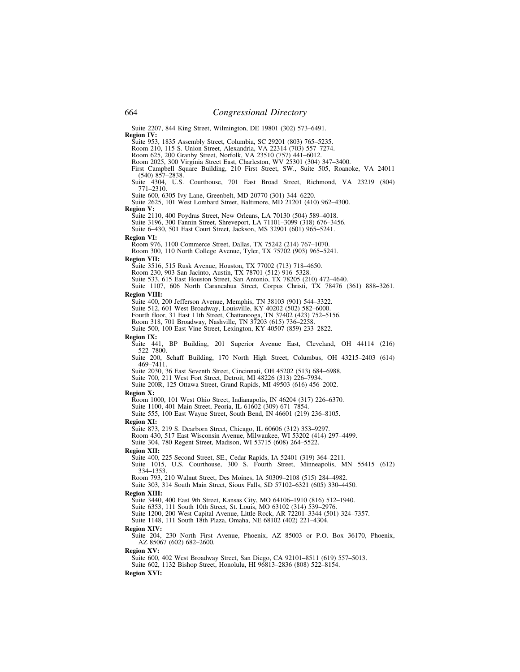Suite 2207, 844 King Street, Wilmington, DE 19801 (302) 573–6491.

**Region IV:** Suite 953, 1835 Assembly Street, Columbia, SC 29201 (803) 765–5235.

Room 210, 115 S. Union Street, Alexandria, VA 22314 (703) 557–7274. Room 625, 200 Granby Street, Norfolk, VA 23510 (757) 441–6012.

Room 2025, 300 Virginia Street East, Charleston, WV 25301 (304) 347–3400.

First Campbell Square Building, 210 First Street, SW., Suite 505, Roanoke, VA 24011 (540) 857–2838.

Suite 4304, U.S. Courthouse, 701 East Broad Street, Richmond, VA 23219 (804)  $771 - 2310.$ 

Suite 600, 6305 Ivy Lane, Greenbelt, MD 20770 (301) 344–6220. Suite 2625, 101 West Lombard Street, Baltimore, MD 21201 (410) 962–4300. **Region V:** 

Suite 2110, 400 Poydras Street, New Orleans, LA 70130 (504) 589–4018. Suite 3196, 300 Fannin Street, Shreveport, LA 71101–3099 (318) 676–3456.

Suite 6–430, 501 East Court Street, Jackson, MS 32901 (601) 965–5241.

# **Region VI:**

Room 976, 1100 Commerce Street, Dallas, TX 75242 (214) 767–1070.

Room 300, 110 North College Avenue, Tyler, TX 75702 (903) 965–5241.

#### **Region VII:**

Suite 3516, 515 Rusk Avenue, Houston, TX 77002 (713) 718–4650. Room 230, 903 San Jacinto, Austin, TX 78701 (512) 916–5328.

Suite 533, 615 East Houston Street, San Antonio, TX 78205 (210) 472–4640. Suite 1107, 606 North Carancahua Street, Corpus Christi, TX 78476 (361) 888–3261.

#### **Region VIII:**

Suite 400, 200 Jefferson Avenue, Memphis, TN 38103 (901) 544–3322. Suite 512, 601 West Broadway, Louisville, KY 40202 (502) 582–6000. Fourth floor, 31 East 11th Street, Chattanooga, TN 37402 (423) 752–5156. Room 318, 701 Broadway, Nashville, TN 37203 (615) 736–2258.

Suite 500, 100 East Vine Street, Lexington, KY 40507 (859) 233–2822.

#### **Region IX:**

Suite 441, BP Building, 201 Superior Avenue East, Cleveland, OH 44114 (216) 522–7800.

Suite 200, Schaff Building, 170 North High Street, Columbus, OH 43215–2403 (614) 469–7411.

Suite 2030, 36 East Seventh Street, Cincinnati, OH 45202 (513) 684–6988.

Suite 700, 211 West Fort Street, Detroit, MI 48226 (313) 226–7934.

Suite 200R, 125 Ottawa Street, Grand Rapids, MI 49503 (616) 456–2002.

#### **Region X:**

Room 1000, 101 West Ohio Street, Indianapolis, IN 46204 (317) 226–6370.

Suite 1100, 401 Main Street, Peoria, IL 61602 (309) 671–7854.

Suite 555, 100 East Wayne Street, South Bend, IN 46601 (219) 236–8105.

### **Region XI:**

Suite 873, 219 S. Dearborn Street, Chicago, IL 60606 (312) 353–9297.

Room 430, 517 East Wisconsin Avenue, Milwaukee, WI 53202 (414) 297–4499. Suite 304, 780 Regent Street, Madison, WI 53715 (608) 264–5522.

#### **Region XII:**

Suite 400, 225 Second Street, SE., Cedar Rapids, IA 52401 (319) 364–2211.

Suite 1015, U.S. Courthouse, 300 S. Fourth Street, Minneapolis, MN 55415 (612) 334–1353.

Room 793, 210 Walnut Street, Des Moines, IA 50309–2108 (515) 284–4982. Suite 303, 314 South Main Street, Sioux Falls, SD 57102–6321 (605) 330–4450.

# **Region XIII:**

Suite 3440, 400 East 9th Street, Kansas City, MO 64106–1910 (816) 512–1940.

Suite 6353, 111 South 10th Street, St. Louis, MO 63102 (314) 539–2976.

Suite 1200, 200 West Capital Avenue, Little Rock, AR 72201–3344 (501) 324–7357.

Suite 1148, 111 South 18th Plaza, Omaha, NE 68102 (402) 221–4304.

#### **Region XIV:**

Suite 204, 230 North First Avenue, Phoenix, AZ 85003 or P.O. Box 36170, Phoenix, AZ 85067 (602) 682–2600.

**Region XV:** 

Suite 600, 402 West Broadway Street, San Diego, CA 92101–8511 (619) 557–5013.

Suite 602, 1132 Bishop Street, Honolulu, HI 96813–2836 (808) 522–8154.

**Region XVI:**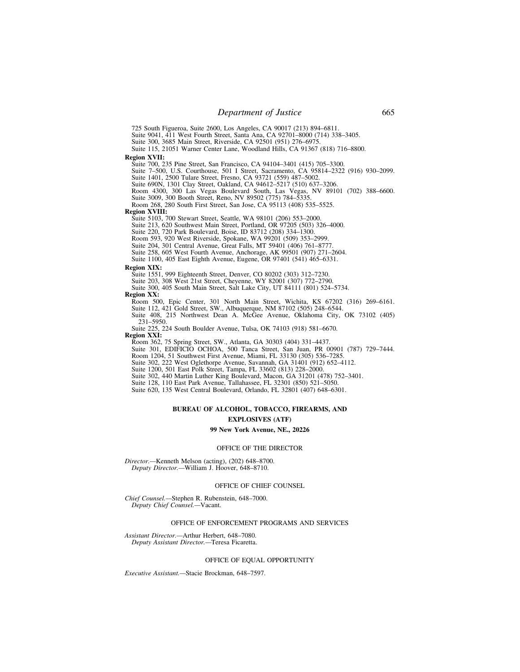725 South Figueroa, Suite 2600, Los Angeles, CA 90017 (213) 894–6811.

Suite 9041, 411 West Fourth Street, Santa Ana, CA 92701–8000 (714) 338–3405.

Suite 300, 3685 Main Street, Riverside, CA 92501 (951) 276–6975.

Suite 115, 21051 Warner Center Lane, Woodland Hills, CA 91367 (818) 716–8800.

# **Region XVII:**

Suite 700, 235 Pine Street, San Francisco, CA 94104–3401 (415) 705–3300.

Suite 7–500, U.S. Courthouse, 501 I Street, Sacramento, CA 95814–2322 (916) 930–2099.

Suite 1401, 2500 Tulare Street, Fresno, CA 93721 (559) 487–5002.

Suite 690N, 1301 Clay Street, Oakland, CA 94612–5217 (510) 637–3206. Room 4300, 300 Las Vegas Boulevard South, Las Vegas, NV 89101 (702) 388–6600.

Suite 3009, 300 Booth Street, Reno, NV 89502 (775) 784–5335. Room 268, 280 South First Street, San Jose, CA 95113 (408) 535–5525.

### **Region XVIII:**

Suite 5103, 700 Stewart Street, Seattle, WA 98101 (206) 553–2000.

Suite 213, 620 Southwest Main Street, Portland, OR 97205 (503) 326–4000.

Suite 220, 720 Park Boulevard, Boise, ID 83712 (208) 334–1300.

Room 593, 920 West Riverside, Spokane, WA 99201 (509) 353–2999.

Suite 204, 301 Central Avenue, Great Falls, MT 59401 (406) 761–8777.

Suite 258, 605 West Fourth Avenue, Anchorage, AK 99501 (907) 271–2604.

Suite 1100, 405 East Eighth Avenue, Eugene, OR 97401 (541) 465–6331.

#### **Region XIX:**

Suite 1551, 999 Eighteenth Street, Denver, CO 80202 (303) 312–7230.

- Suite 203, 308 West 21st Street, Cheyenne, WY 82001 (307) 772–2790.
- Suite 300, 405 South Main Street, Salt Lake City, UT 84111 (801) 524–5734.

### **Region XX:**

Room 500, Epic Center, 301 North Main Street, Wichita, KS 67202 (316) 269–6161. Suite 112, 421 Gold Street, SW., Albuquerque, NM 87102 (505) 248–6544.

Suite 408, 215 Northwest Dean A. McGee Avenue, Oklahoma City, OK 73102 (405) 231–5950.

Suite 225, 224 South Boulder Avenue, Tulsa, OK 74103 (918) 581–6670.

**Region XXI:** 

Room 362, 75 Spring Street, SW., Atlanta, GA 30303 (404) 331–4437.

Suite 301, EDIFICIO OCHOA, 500 Tanca Street, San Juan, PR 00901 (787) 729–7444.

Room 1204, 51 Southwest First Avenue, Miami, FL 33130 (305) 536–7285.

Suite 302, 222 West Oglethorpe Avenue, Savannah, GA 31401 (912) 652–4112.

Suite 1200, 501 East Polk Street, Tampa, FL 33602 (813) 228–2000.

Suite 302, 440 Martin Luther King Boulevard, Macon, GA 31201 (478) 752–3401.

Suite 128, 110 East Park Avenue, Tallahassee, FL 32301 (850) 521–5050. Suite 620, 135 West Central Boulevard, Orlando, FL 32801 (407) 648–6301.

## **BUREAU OF ALCOHOL, TOBACCO, FIREARMS, AND EXPLOSIVES (ATF)**

### **99 New York Avenue, NE., 20226**

#### OFFICE OF THE DIRECTOR

*Director.—*Kenneth Melson (acting), (202) 648–8700. *Deputy Director.—*William J. Hoover, 648–8710.

#### OFFICE OF CHIEF COUNSEL

*Chief Counsel.—*Stephen R. Rubenstein, 648–7000. *Deputy Chief Counsel.—*Vacant.

# OFFICE OF ENFORCEMENT PROGRAMS AND SERVICES

*Assistant Director.—*Arthur Herbert, 648–7080. *Deputy Assistant Director.—*Teresa Ficaretta.

## OFFICE OF EQUAL OPPORTUNITY

*Executive Assistant.—*Stacie Brockman, 648–7597.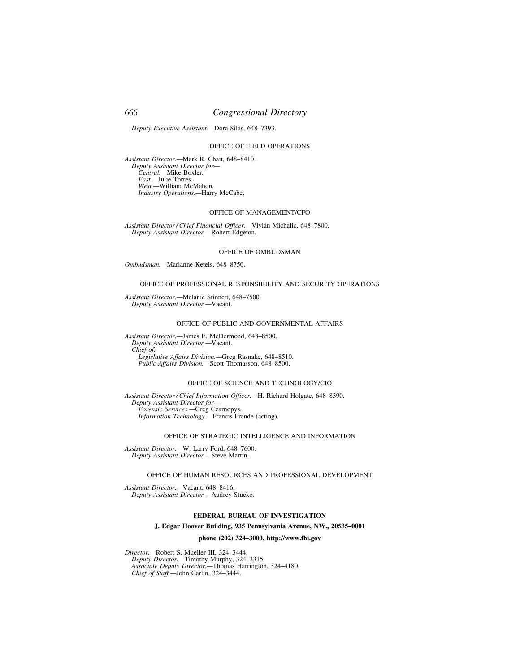# 666 *Congressional Directory*

*Deputy Executive Assistant.—*Dora Silas, 648–7393.

## OFFICE OF FIELD OPERATIONS

*Assistant Director.—*Mark R. Chait, 648–8410. *Deputy Assistant Director for— Central.—*Mike Boxler. *East.—*Julie Torres. *West.—*William McMahon. *Industry Operations.—*Harry McCabe.

### OFFICE OF MANAGEMENT/CFO

*Assistant Director / Chief Financial Officer.—*Vivian Michalic, 648–7800. *Deputy Assistant Director.—*Robert Edgeton.

## OFFICE OF OMBUDSMAN

*Ombudsman.—*Marianne Ketels, 648–8750.

### OFFICE OF PROFESSIONAL RESPONSIBILITY AND SECURITY OPERATIONS

*Assistant Director.—*Melanie Stinnett, 648–7500. *Deputy Assistant Director.—*Vacant.

## OFFICE OF PUBLIC AND GOVERNMENTAL AFFAIRS

*Assistant Director.—*James E. McDermond, 648–8500. *Deputy Assistant Director.—*Vacant. *Chief of: Legislative Affairs Division.—*Greg Rasnake, 648–8510. *Public Affairs Division.—*Scott Thomasson, 648–8500.

## OFFICE OF SCIENCE AND TECHNOLOGY/CIO

*Assistant Director / Chief Information Officer.—*H. Richard Holgate, 648–8390. *Deputy Assistant Director for— Forensic Services.—*Greg Czarnopys. *Information Technology.—*Francis Frande (acting).

### OFFICE OF STRATEGIC INTELLIGENCE AND INFORMATION

*Assistant Director.—*W. Larry Ford, 648–7600. *Deputy Assistant Director.—*Steve Martin.

### OFFICE OF HUMAN RESOURCES AND PROFESSIONAL DEVELOPMENT

*Assistant Director.—*Vacant, 648–8416. *Deputy Assistant Director.—*Audrey Stucko.

## **FEDERAL BUREAU OF INVESTIGATION**

## **J. Edgar Hoover Building, 935 Pennsylvania Avenue, NW., 20535–0001**

## **phone (202) 324–3000, http://www.fbi.gov**

*Director.—*Robert S. Mueller III, 324–3444. *Deputy Director.—*Timothy Murphy, 324–3315. *Associate Deputy Director.—*Thomas Harrington, 324–4180. *Chief of Staff.—*John Carlin, 324–3444.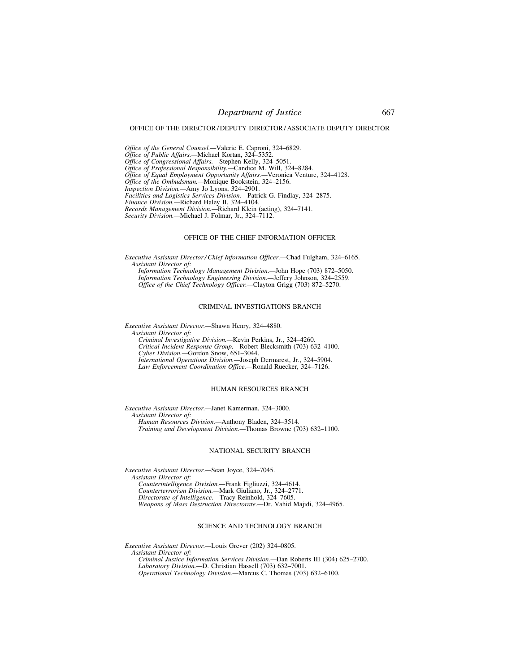### OFFICE OF THE DIRECTOR / DEPUTY DIRECTOR / ASSOCIATE DEPUTY DIRECTOR

*Office of the General Counsel.—*Valerie E. Caproni, 324–6829. *Office of Public Affairs.—*Michael Kortan, 324–5352. *Office of Congressional Affairs.—*Stephen Kelly, 324–5051. *Office of Professional Responsibility.—*Candice M. Will, 324–8284. *Office of Equal Employment Opportunity Affairs.—*Veronica Venture, 324–4128. *Office of the Ombudsman.—*Monique Bookstein, 324–2156. *Inspection Division.—*Amy Jo Lyons, 324–2901. *Facilities and Logistics Services Division.—*Patrick G. Findlay, 324–2875. *Finance Division.—*Richard Haley II, 324–4104. *Records Management Division.—*Richard Klein (acting), 324–7141. *Security Division.—*Michael J. Folmar, Jr., 324–7112.

## OFFICE OF THE CHIEF INFORMATION OFFICER

*Executive Assistant Director / Chief Information Officer.—*Chad Fulgham, 324–6165. *Assistant Director of: Information Technology Management Division.—*John Hope (703) 872–5050. *Information Technology Engineering Division.—*Jeffery Johnson, 324–2559.

*Office of the Chief Technology Officer.—*Clayton Grigg (703) 872–5270.

### CRIMINAL INVESTIGATIONS BRANCH

*Executive Assistant Director.—*Shawn Henry, 324–4880.

*Assistant Director of: Criminal Investigative Division.—*Kevin Perkins, Jr., 324–4260.

*Critical Incident Response Group.—*Robert Blecksmith (703) 632–4100. *Cyber Division.—*Gordon Snow, 651–3044. *International Operations Division.—*Joseph Dermarest, Jr., 324–5904.

*Law Enforcement Coordination Office.—*Ronald Ruecker, 324–7126.

#### HUMAN RESOURCES BRANCH

*Executive Assistant Director.—*Janet Kamerman, 324–3000. *Assistant Director of: Human Resources Division.—*Anthony Bladen, 324–3514. *Training and Development Division.—*Thomas Browne (703) 632–1100.

### NATIONAL SECURITY BRANCH

*Executive Assistant Director.—*Sean Joyce, 324–7045. *Assistant Director of: Counterintelligence Division.—*Frank Figliuzzi, 324–4614. *Counterterrorism Division.—*Mark Giuliano, Jr., 324–2771. *Directorate of Intelligence.—*Tracy Reinhold, 324–7605.

*Weapons of Mass Destruction Directorate.—*Dr. Vahid Majidi, 324–4965.

## SCIENCE AND TECHNOLOGY BRANCH

*Executive Assistant Director.—*Louis Grever (202) 324–0805.

*Assistant Director of:* 

*Criminal Justice Information Services Division.—*Dan Roberts III (304) 625–2700. *Laboratory Division.—*D. Christian Hassell (703) 632–7001.

*Operational Technology Division.—*Marcus C. Thomas (703) 632–6100.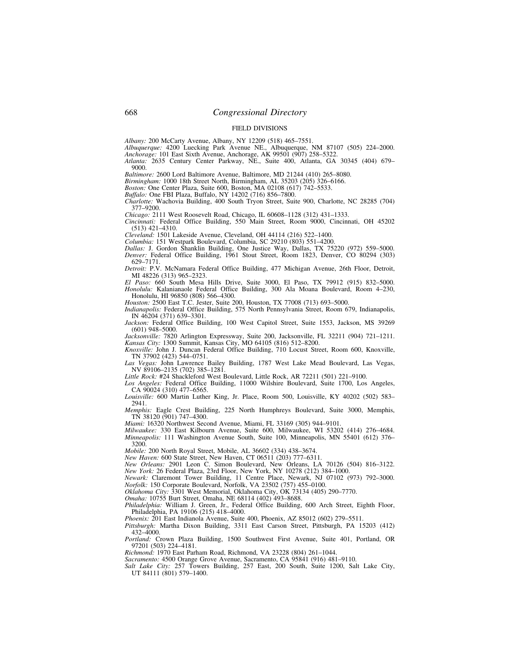### FIELD DIVISIONS

*Albany:* 200 McCarty Avenue, Albany, NY 12209 (518) 465–7551.

*Albuquerque:* 4200 Luecking Park Avenue NE., Albuquerque, NM 87107 (505) 224–2000. *Anchorage:* 101 East Sixth Avenue, Anchorage, AK 99501 (907) 258–5322.

*Atlanta:* 2635 Century Center Parkway, NE., Suite 400, Atlanta, GA 30345 (404) 679– 9000.

*Baltimore:* 2600 Lord Baltimore Avenue, Baltimore, MD 21244 (410) 265–8080.

*Birmingham:* 1000 18th Street North, Birmingham, AL 35203 (205) 326–6166. *Boston:* One Center Plaza, Suite 600, Boston, MA 02108 (617) 742–5533.

*Buffalo:* One FBI Plaza, Buffalo, NY 14202 (716) 856–7800.

*Charlotte:* Wachovia Building, 400 South Tryon Street, Suite 900, Charlotte, NC 28285 (704) 377–9200.

*Chicago:* 2111 West Roosevelt Road, Chicago, IL 60608–1128 (312) 431–1333.

*Cincinnati:* Federal Office Building, 550 Main Street, Room 9000, Cincinnati, OH 45202 (513) 421–4310.

*Cleveland:* 1501 Lakeside Avenue, Cleveland, OH 44114 (216) 522–1400.

*Columbia:* 151 Westpark Boulevard, Columbia, SC 29210 (803) 551–4200.

*Dallas:* J. Gordon Shanklin Building, One Justice Way, Dallas, TX 75220 (972) 559–5000.

*Denver:* Federal Office Building, 1961 Stout Street, Room 1823, Denver, CO 80294 (303) 629–7171.

*Detroit:* P.V. McNamara Federal Office Building, 477 Michigan Avenue, 26th Floor, Detroit, MI 48226 (313) 965–2323.

*El Paso:* 660 South Mesa Hills Drive, Suite 3000, El Paso, TX 79912 (915) 832–5000. *Honolulu:* Kalanianaole Federal Office Building, 300 Ala Moana Boulevard, Room 4–230, Honolulu, HI 96850 (808) 566–4300.

*Houston:* 2500 East T.C. Jester, Suite 200, Houston, TX 77008 (713) 693–5000.

*Indianapolis:* Federal Office Building, 575 North Pennsylvania Street, Room 679, Indianapolis, IN 46204 (371) 639–3301.

Jackson: Federal Office Building, 100 West Capitol Street, Suite 1553, Jackson, MS 39269 (601) 948–5000.

*Jacksonville:* 7820 Arlington Expressway, Suite 200, Jacksonville, FL 32211 (904) 721–1211. *Kansas City:* 1300 Summit, Kansas City, MO 64105 (816) 512–8200.

*Knoxville:* John J. Duncan Federal Office Building, 710 Locust Street, Room 600, Knoxville, TN 37902 (423) 544–0751.

*Las Vegas:* John Lawrence Bailey Building, 1787 West Lake Mead Boulevard, Las Vegas, NV 89106–2135 (702) 385–1281.

*Little Rock:* #24 Shackleford West Boulevard, Little Rock, AR 72211 (501) 221–9100.

*Los Angeles:* Federal Office Building, 11000 Wilshire Boulevard, Suite 1700, Los Angeles, CA 90024 (310) 477–6565.

*Louisville:* 600 Martin Luther King, Jr. Place, Room 500, Louisville, KY 40202 (502) 583– 2941.

*Memphis:* Eagle Crest Building, 225 North Humphreys Boulevard, Suite 3000, Memphis, TN 38120 (901) 747–4300.

*Miami:* 16320 Northwest Second Avenue, Miami, FL 33169 (305) 944–9101.

*Milwaukee:* 330 East Kilbourn Avenue, Suite 600, Milwaukee, WI 53202 (414) 276–4684. *Minneapolis:* 111 Washington Avenue South, Suite 100, Minneapolis, MN 55401 (612) 376– 3200.

*Mobile:* 200 North Royal Street, Mobile, AL 36602 (334) 438–3674.

*New Haven:* 600 State Street, New Haven, CT 06511 (203) 777–6311.

*New Orleans:* 2901 Leon C. Simon Boulevard, New Orleans, LA 70126 (504) 816–3122. *New York:* 26 Federal Plaza, 23rd Floor, New York, NY 10278 (212) 384–1000.

*Newark:* Claremont Tower Building, 11 Centre Place, Newark, NJ 07102 (973) 792–3000. *Norfolk:* 150 Corporate Boulevard, Norfolk, VA 23502 (757) 455–0100.

*Oklahoma City:* 3301 West Memorial, Oklahoma City, OK 73134 (405) 290–7770.

*Omaha:* 10755 Burt Street, Omaha, NE 68114 (402) 493–8688.

*Philadelphia:* William J. Green, Jr., Federal Office Building, 600 Arch Street, Eighth Floor, Philadelphia, PA 19106 (215) 418–4000.

*Phoenix:* 201 East Indianola Avenue, Suite 400, Phoenix, AZ 85012 (602) 279–5511.

*Pittsburgh:* Martha Dixon Building, 3311 East Carson Street, Pittsburgh, PA 15203 (412) 432–4000.

*Portland:* Crown Plaza Building, 1500 Southwest First Avenue, Suite 401, Portland, OR 97201 (503) 224–4181.

*Richmond:* 1970 East Parham Road, Richmond, VA 23228 (804) 261–1044.

*Sacramento:* 4500 Orange Grove Avenue, Sacramento, CA 95841 (916) 481–9110. *Salt Lake City:* 257 Towers Building, 257 East, 200 South, Suite 1200, Salt Lake City, UT 84111 (801) 579-1400.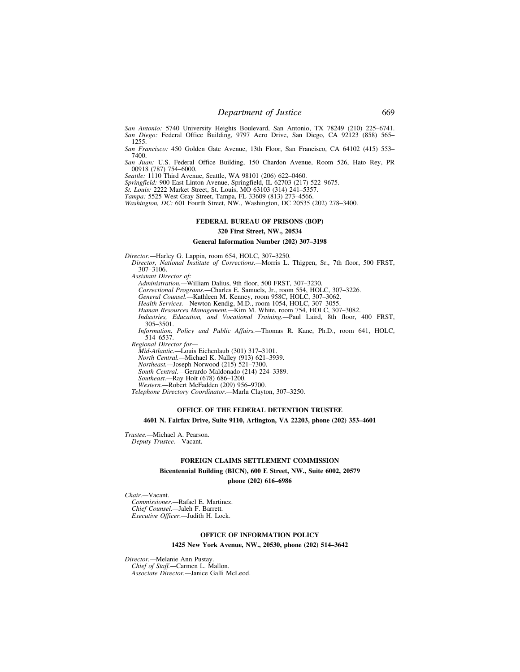*San Antonio:* 5740 University Heights Boulevard, San Antonio, TX 78249 (210) 225–6741. *San Diego:* Federal Office Building, 9797 Aero Drive, San Diego, CA 92123 (858) 565– 1255.

*San Francisco:* 450 Golden Gate Avenue, 13th Floor, San Francisco, CA 64102 (415) 553– 7400.

*San Juan:* U.S. Federal Office Building, 150 Chardon Avenue, Room 526, Hato Rey, PR 00918 (787) 754–6000.

*Seattle:* 1110 Third Avenue, Seattle, WA 98101 (206) 622–0460.

*Springfield:* 900 East Linton Avenue, Springfield, IL 62703 (217) 522–9675.

*St. Louis:* 2222 Market Street, St. Louis, MO 63103 (314) 241–5357.

*Tampa:* 5525 West Gray Street, Tampa, FL 33609 (813) 273–4566.

*Washington, DC:* 601 Fourth Street, NW., Washington, DC 20535 (202) 278–3400.

## **FEDERAL BUREAU OF PRISONS (BOP)**

## **320 First Street, NW., 20534**

## **General Information Number (202) 307–3198**

*Director.—*Harley G. Lappin, room 654, HOLC, 307–3250.

*Director, National Institute of Corrections.—*Morris L. Thigpen, Sr., 7th floor, 500 FRST, 307–3106.

*Assistant Director of:* 

*Administration.—*William Dalius, 9th floor, 500 FRST, 307–3230.

*Correctional Programs.—*Charles E. Samuels, Jr., room 554, HOLC, 307–3226.

*General Counsel.—*Kathleen M. Kenney, room 958C, HOLC, 307–3062.

*Health Services.—*Newton Kendig, M.D., room 1054, HOLC, 307–3055.

*Human Resources Management.—*Kim M. White, room 754, HOLC, 307–3082.

*Industries, Education, and Vocational Training.—*Paul Laird, 8th floor, 400 FRST, 305–3501.

*Information, Policy and Public Affairs.—*Thomas R. Kane, Ph.D., room 641, HOLC, 514–6537.

*Regional Director for—* 

*Mid-Atlantic.—*Louis Eichenlaub (301) 317–3101.

*North Central.—*Michael K. Nalley (913) 621–3939.

*Northeast.—*Joseph Norwood (215) 521–7300.

*South Central.—*Gerardo Maldonado (214) 224–3389.

*Southeast.—*Ray Holt (678) 686–1200.

*Western.—*Robert McFadden (209) 956–9700.

*Telephone Directory Coordinator.—*Marla Clayton, 307–3250.

### **OFFICE OF THE FEDERAL DETENTION TRUSTEE**

### **4601 N. Fairfax Drive, Suite 9110, Arlington, VA 22203, phone (202) 353–4601**

*Trustee.—*Michael A. Pearson. *Deputy Trustee.—*Vacant.

### **FOREIGN CLAIMS SETTLEMENT COMMISSION**

**Bicentennial Building (BICN), 600 E Street, NW., Suite 6002, 20579** 

**phone (202) 616–6986** 

*Chair.—*Vacant.

*Commissioner.—*Rafael E. Martinez. *Chief Counsel.—*Jaleh F. Barrett. *Executive Officer.—*Judith H. Lock.

### **OFFICE OF INFORMATION POLICY**

**1425 New York Avenue, NW., 20530, phone (202) 514–3642** 

*Director.—*Melanie Ann Pustay. *Chief of Staff.—*Carmen L. Mallon. *Associate Director.—*Janice Galli McLeod.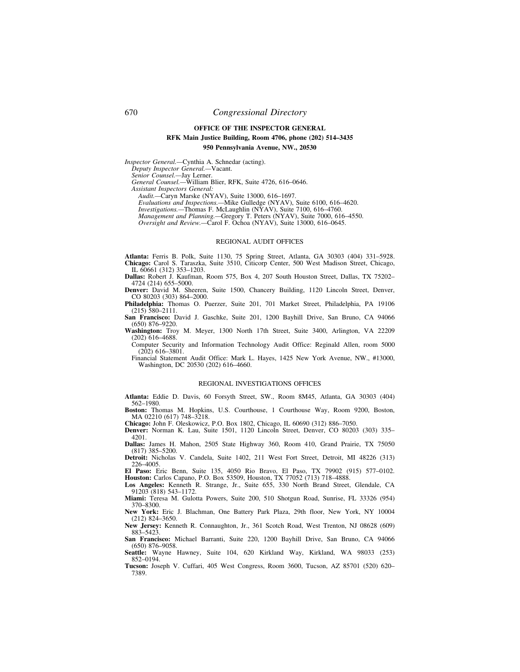# **OFFICE OF THE INSPECTOR GENERAL RFK Main Justice Building, Room 4706, phone (202) 514–3435 950 Pennsylvania Avenue, NW., 20530**

*Inspector General.—*Cynthia A. Schnedar (acting).

*Deputy Inspector General.—*Vacant.

*Senior Counsel.—*Jay Lerner.

*General Counsel.—*William Blier, RFK, Suite 4726, 616–0646.

*Assistant Inspectors General:* 

*Audit.—*Caryn Marske (NYAV), Suite 13000, 616–1697.

*Evaluations and Inspections.—*Mike Gulledge (NYAV), Suite 6100, 616–4620.

*Investigations.—*Thomas F. McLaughlin (NYAV), Suite 7100, 616–4760. *Management and Planning.—*Gregory T. Peters (NYAV), Suite 7000, 616–4550.

*Oversight and Review.—*Carol F. Ochoa (NYAV), Suite 13000, 616–0645.

### REGIONAL AUDIT OFFICES

**Atlanta:** Ferris B. Polk, Suite 1130, 75 Spring Street, Atlanta, GA 30303 (404) 331–5928. **Chicago:** Carol S. Taraszka, Suite 3510, Citicorp Center, 500 West Madison Street, Chicago, IL 60661 (312) 353–1203.

**Dallas:** Robert J. Kaufman, Room 575, Box 4, 207 South Houston Street, Dallas, TX 75202– 4724 (214) 655–5000.

**Denver:** David M. Sheeren, Suite 1500, Chancery Building, 1120 Lincoln Street, Denver, CO 80203 (303) 864–2000.

**Philadelphia:** Thomas O. Puerzer, Suite 201, 701 Market Street, Philadelphia, PA 19106 (215) 580–2111.

**San Francisco:** David J. Gaschke, Suite 201, 1200 Bayhill Drive, San Bruno, CA 94066 (650) 876–9220.

**Washington:** Troy M. Meyer, 1300 North 17th Street, Suite 3400, Arlington, VA 22209 (202) 616–4688.

Computer Security and Information Technology Audit Office: Reginald Allen, room 5000  $(202)$  616–3801.

Financial Statement Audit Office: Mark L. Hayes, 1425 New York Avenue, NW., #13000, Washington, DC 20530 (202) 616–4660.

### REGIONAL INVESTIGATIONS OFFICES

**Atlanta:** Eddie D. Davis, 60 Forsyth Street, SW., Room 8M45, Atlanta, GA 30303 (404) 562–1980.

**Boston:** Thomas M. Hopkins, U.S. Courthouse, 1 Courthouse Way, Room 9200, Boston, MA 02210 (617) 748–3218.

**Chicago:** John F. Oleskowicz, P.O. Box 1802, Chicago, IL 60690 (312) 886–7050.

**Denver:** Norman K. Lau, Suite 1501, 1120 Lincoln Street, Denver, CO 80203 (303) 335– 4201.

**Dallas:** James H. Mahon, 2505 State Highway 360, Room 410, Grand Prairie, TX 75050 (817) 385–5200.

**Detroit:** Nicholas V. Candela, Suite 1402, 211 West Fort Street, Detroit, MI 48226 (313) 226–4005.

**El Paso:** Eric Benn, Suite 135, 4050 Rio Bravo, El Paso, TX 79902 (915) 577–0102. **Houston:** Carlos Capano, P.O. Box 53509, Houston, TX 77052 (713) 718–4888.

**Los Angeles:** Kenneth R. Strange, Jr., Suite 655, 330 North Brand Street, Glendale, CA 91203 (818) 543–1172.

**Miami:** Teresa M. Gulotta Powers, Suite 200, 510 Shotgun Road, Sunrise, FL 33326 (954) 370–8300.

**New York:** Eric J. Blachman, One Battery Park Plaza, 29th floor, New York, NY 10004 (212) 824–3650.

**New Jersey:** Kenneth R. Connaughton, Jr., 361 Scotch Road, West Trenton, NJ 08628 (609) 883–5423.

**San Francisco:** Michael Barranti, Suite 220, 1200 Bayhill Drive, San Bruno, CA 94066 (650) 876–9058.

**Seattle:** Wayne Hawney, Suite 104, 620 Kirkland Way, Kirkland, WA 98033 (253) 852–0194. **Tucson:** Joseph V. Cuffari, 405 West Congress, Room 3600, Tucson, AZ 85701 (520) 620–

7389.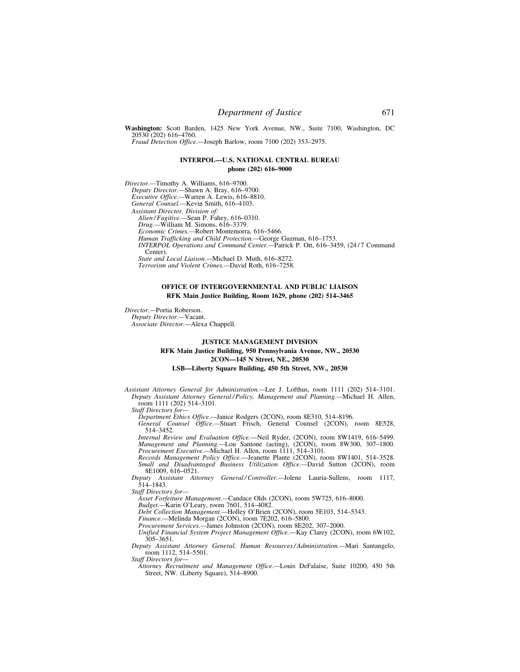**Washington:** Scott Barden, 1425 New York Avenue, NW., Suite 7100, Washington, DC 20530 (202) 616–4760.

*Fraud Detection Office.—*Joseph Barlow, room 7100 (202) 353–2975.

## **INTERPOL—U.S. NATIONAL CENTRAL BUREAU phone (202) 616–9000**

*Director.—*Timothy A. Williams, 616–9700. *Deputy Director.—*Shawn A. Bray, 616–9700. *Executive Office.—*Warren A. Lewis, 616–8810. *General Counsel.—*Kevin Smith, 616–4103. *Assistant Director, Division of: Alien / Fugitive.—*Sean P. Fahey, 616–0310. *Drug.—*William M. Simons, 616–3379. *Economic Crimes.—*Robert Montemorra, 616–5466. *Human Trafficking and Child Protection.—*George Guzman, 616–1753. *INTERPOL Operations and Command Center.*—Patrick P. Ott, 616-3459, (24/7 Command Center). *State and Local Liaison.—*Michael D. Muth, 616–8272. *Terrorism and Violent Crimes.—*David Roth, 616–7258.

## **OFFICE OF INTERGOVERNMENTAL AND PUBLIC LIAISON RFK Main Justice Building, Room 1629, phone (202) 514–3465**

*Director.—*Portia Roberson. *Deputy Director.—*Vacant.

*Associate Director.—*Alexa Chappell.

## **JUSTICE MANAGEMENT DIVISION RFK Main Justice Building, 950 Pennsylvania Avenue, NW., 20530 2CON—145 N Street, NE., 20530 LSB—Liberty Square Building, 450 5th Street, NW., 20530**

*Assistant Attorney General for Administration.—*Lee J. Lofthus, room 1111 (202) 514–3101. *Deputy Assistant Attorney General / Policy, Management and Planning.—*Michael H. Allen, room 1111 (202) 514–3101.

*Staff Directors for—* 

*Department Ethics Office.—*Janice Rodgers (2CON), room 8E310, 514–8196.

*General Counsel Office.—*Stuart Frisch, General Counsel (2CON), room 8E528, 514–3452.

*Internal Review and Evaluation Office.*—Neil Ryder, (2CON), room 8W1419, 616–5499. *Management and Planning.—*Lou Santone (acting), (2CON), room 8W300, 307–1800. *Procurement Executive.—*Michael H. Allen, room 1111, 514–3101.

*Records Management Policy Office.*—Jeanette Plante (2CON), room 8W1401, 514–3528. *Small and Disadvantaged Business Utilization Office.—*David Sutton (2CON), room 8E1009, 616–0521.

*Deputy Assistant Attorney General / Controller.—*Jolene Lauria-Sullens, room 1117, 514–1843.

*Staff Directors for—* 

*Asset Forfeiture Management.—*Candace Olds (2CON), room 5W725, 616–8000.

*Budget.—*Karin O'Leary, room 7601, 514–4082.

*Debt Collection Management.—*Holley O'Brien (2CON), room 5E103, 514–5343.

*Finance.—*Melinda Morgan (2CON), room 7E202, 616–5800.

*Procurement Services.—*James Johnston (2CON), room 8E202, 307–2000.

*Unified Financial System Project Management Office.*—Kay Clarey (2CON), room 6W102, 305–3651.

*Deputy Assistant Attorney General, Human Resources / Administration.—*Mari Santangelo, room 1112, 514–5501.

*Staff Directors for—* 

*Attorney Recruitment and Management Office.—*Louis DeFalaise, Suite 10200, 450 5th Street, NW. (Liberty Square), 514–8900.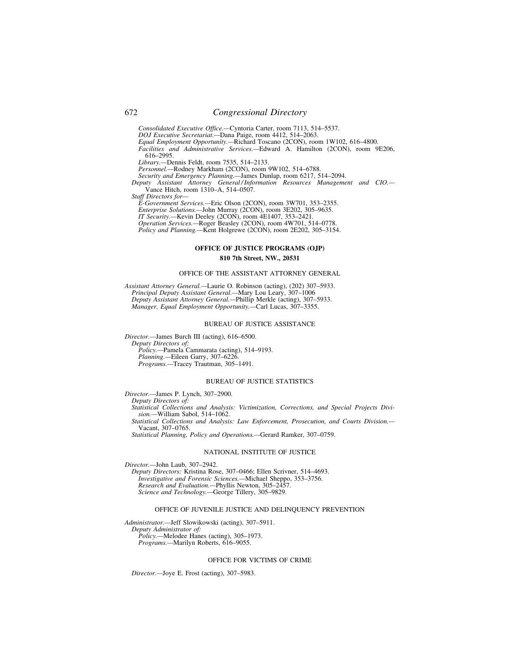*Consolidated Executive Office.—*Cyntoria Carter, room 7113, 514–5537.

*DOJ Executive Secretariat.—*Dana Paige, room 4412, 514–2063. *Equal Employment Opportunity.—*Richard Toscano (2CON), room 1W102, 616–4800. *Facilities and Administrative Services.—*Edward A. Hamilton (2CON), room 9E206, 616–2995.

*Library.—*Dennis Feldt, room 7535, 514–2133.

*Personnel.—*Rodney Markham (2CON), room 9W102, 514–6788.

*Security and Emergency Planning.—*James Dunlap, room 6217, 514–2094.

*Deputy Assistant Attorney General / Information Resources Management and CIO.—*  Vance Hitch, room 1310–A, 514–0507.

*Staff Directors for—* 

*E-Government Services.—*Eric Olson (2CON), room 3W701, 353–2355.

*Enterprise Solutions.—*John Murray (2CON), room 3E202, 305–9635.

*IT Security.—*Kevin Deeley (2CON), room 4E1407, 353–2421.

*Operation Services.—*Roger Beasley (2CON), room 4W701, 514–0778.

*Policy and Planning.—*Kent Holgrewe (2CON), room 2E202, 305–3154.

## **OFFICE OF JUSTICE PROGRAMS (OJP)**

### **810 7th Street, NW., 20531**

### OFFICE OF THE ASSISTANT ATTORNEY GENERAL

*Assistant Attorney General.—*Laurie O. Robinson (acting), (202) 307–5933. *Principal Deputy Assistant General.—*Mary Lou Leary, 307–1006 *Deputy Assistant Attorney General.—*Phillip Merkle (acting), 307–5933. *Manager, Equal Employment Opportunity.—*Carl Lucas, 307–3355.

#### BUREAU OF JUSTICE ASSISTANCE

*Director.—*James Burch III (acting), 616–6500. *Deputy Directors of: Policy.—*Pamela Cammarata (acting), 514–9193. *Planning.—*Eileen Garry, 307–6226. *Programs.—*Tracey Trautman, 305–1491.

## BUREAU OF JUSTICE STATISTICS

*Director.—*James P. Lynch, 307–2900. *Deputy Directors of: Statistical Collections and Analysis: Victimization, Corrections, and Special Projects Division.—*William Sabol, 514–1062. *Statistical Collections and Analysis: Law Enforcement, Prosecution, and Courts Division.—*  Vacant, 307–0765. *Statistical Planning, Policy and Operations.—*Gerard Ramker, 307–0759.

### NATIONAL INSTITUTE OF JUSTICE

*Director.—*John Laub, 307–2942.

*Deputy Directors:* Kristina Rose, 307–0466; Ellen Scrivner, 514–4693. *Investigative and Forensic Sciences.—*Michael Sheppo, 353–3756. *Research and Evaluation.—*Phyllis Newton, 305–2457. *Science and Technology.—*George Tillery, 305–9829.

## OFFICE OF JUVENILE JUSTICE AND DELINQUENCY PREVENTION

*Administrator.—*Jeff Slowikowski (acting), 307–5911. *Deputy Administrator of: Policy.—*Melodee Hanes (acting), 305–1973. *Programs.—*Marilyn Roberts, 616–9055.

## OFFICE FOR VICTIMS OF CRIME

*Director.—*Joye E. Frost (acting), 307–5983.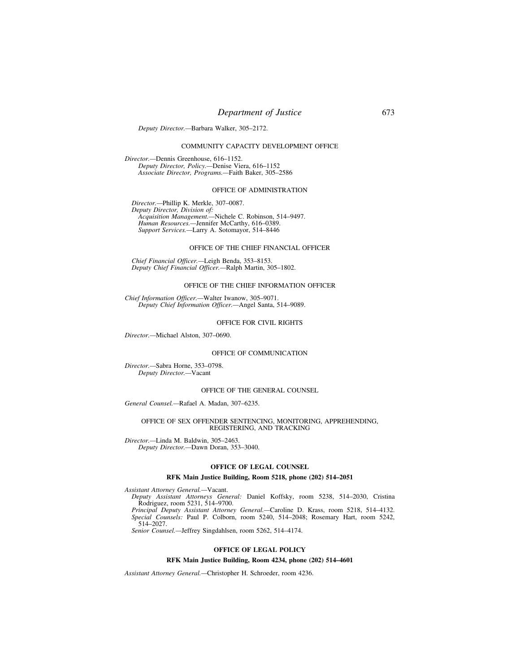# *Department of Justice* 673

#### *Deputy Director.—*Barbara Walker, 305–2172.

## COMMUNITY CAPACITY DEVELOPMENT OFFICE

*Director.—*Dennis Greenhouse, 616–1152. *Deputy Director, Policy.—*Denise Viera, 616–1152 *Associate Director, Programs.—*Faith Baker, 305–2586

## OFFICE OF ADMINISTRATION

*Director.—*Phillip K. Merkle, 307–0087. *Deputy Director, Division of: Acquisition Management.—*Nichele C. Robinson, 514–9497. *Human Resources.—*Jennifer McCarthy, 616–0389. *Support Services.—*Larry A. Sotomayor, 514–8446

## OFFICE OF THE CHIEF FINANCIAL OFFICER

*Chief Financial Officer.—*Leigh Benda, 353–8153. *Deputy Chief Financial Officer.—*Ralph Martin, 305–1802.

## OFFICE OF THE CHIEF INFORMATION OFFICER

*Chief Information Officer.—*Walter Iwanow, 305–9071. *Deputy Chief Information Officer.—*Angel Santa, 514–9089.

## OFFICE FOR CIVIL RIGHTS

*Director.—*Michael Alston, 307–0690.

### OFFICE OF COMMUNICATION

*Director.—*Sabra Horne, 353–0798. *Deputy Director.—*Vacant

### OFFICE OF THE GENERAL COUNSEL

*General Counsel.—*Rafael A. Madan, 307–6235.

### OFFICE OF SEX OFFENDER SENTENCING, MONITORING, APPREHENDING, REGISTERING, AND TRACKING

*Director.—*Linda M. Baldwin, 305–2463. *Deputy Director.—*Dawn Doran, 353–3040.

## **OFFICE OF LEGAL COUNSEL**

### **RFK Main Justice Building, Room 5218, phone (202) 514–2051**

*Assistant Attorney General.—*Vacant.

*Deputy Assistant Attorneys General:* Daniel Koffsky, room 5238, 514–2030, Cristina Rodriguez, room 5231, 514–9700.

*Principal Deputy Assistant Attorney General.—*Caroline D. Krass, room 5218, 514–4132. *Special Counsels:* Paul P. Colborn, room 5240, 514–2048; Rosemary Hart, room 5242, 514–2027.

*Senior Counsel.—*Jeffrey Singdahlsen, room 5262, 514–4174.

## **OFFICE OF LEGAL POLICY**

### **RFK Main Justice Building, Room 4234, phone (202) 514–4601**

*Assistant Attorney General.—*Christopher H. Schroeder, room 4236.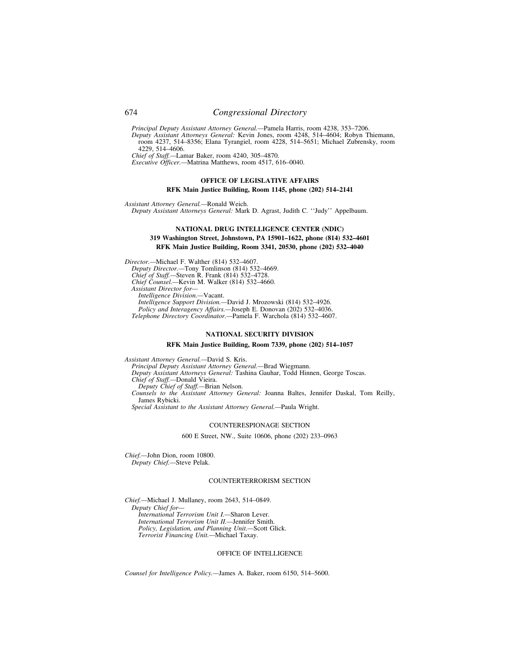# 674 *Congressional Directory*

*Principal Deputy Assistant Attorney General.—*Pamela Harris, room 4238, 353–7206.

*Deputy Assistant Attorneys General:* Kevin Jones, room 4248, 514–4604; Robyn Thiemann, room 4237, 514–8356; Elana Tyrangiel, room 4228, 514–5651; Michael Zubrensky, room 4229, 514–4606.

*Chief of Staff.—*Lamar Baker, room 4240, 305–4870.

*Executive Officer.—*Matrina Matthews, room 4517, 616–0040.

## **OFFICE OF LEGISLATIVE AFFAIRS**

### **RFK Main Justice Building, Room 1145, phone (202) 514–2141**

*Assistant Attorney General.—*Ronald Weich.

*Deputy Assistant Attorneys General:* Mark D. Agrast, Judith C. ''Judy'' Appelbaum.

## **NATIONAL DRUG INTELLIGENCE CENTER (NDIC) 319 Washington Street, Johnstown, PA 15901–1622, phone (814) 532–4601 RFK Main Justice Building, Room 3341, 20530, phone (202) 532–4040**

*Director.—*Michael F. Walther (814) 532–4607. *Deputy Director.—*Tony Tomlinson (814) 532–4669. *Chief of Staff.—*Steven R. Frank (814) 532–4728. *Chief Counsel.—*Kevin M. Walker (814) 532–4660. *Assistant Director for— Intelligence Division.—*Vacant. *Intelligence Support Division.—*David J. Mrozowski (814) 532–4926. *Policy and Interagency Affairs.—*Joseph E. Donovan (202) 532–4036. *Telephone Directory Coordinator.—*Pamela F. Warchola (814) 532–4607.

### **NATIONAL SECURITY DIVISION**

### **RFK Main Justice Building, Room 7339, phone (202) 514–1057**

*Assistant Attorney General.—*David S. Kris. *Principal Deputy Assistant Attorney General.—*Brad Wiegmann. *Deputy Assistant Attorneys General:* Tashina Gauhar, Todd Hinnen, George Toscas. *Chief of Staff.—*Donald Vieira. *Deputy Chief of Staff.—*Brian Nelson. *Counsels to the Assistant Attorney General:* Joanna Baltes, Jennifer Daskal, Tom Reilly, James Rybicki. *Special Assistant to the Assistant Attorney General.—*Paula Wright.

## COUNTERESPIONAGE SECTION

600 E Street, NW., Suite 10606, phone (202) 233–0963

*Chief.—*John Dion, room 10800. *Deputy Chief.—*Steve Pelak.

#### COUNTERTERRORISM SECTION

*Chief.—*Michael J. Mullaney, room 2643, 514–0849. *Deputy Chief for— International Terrorism Unit I.—*Sharon Lever. *International Terrorism Unit II.—*Jennifer Smith. *Policy, Legislation, and Planning Unit.—*Scott Glick. *Terrorist Financing Unit.—*Michael Taxay.

### OFFICE OF INTELLIGENCE

*Counsel for Intelligence Policy.—*James A. Baker, room 6150, 514–5600.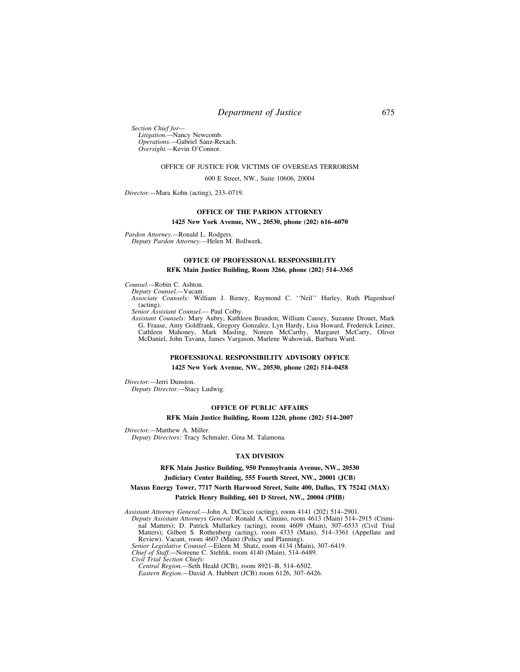# *Department of Justice* 675

*Section Chief for— Litigation.—*Nancy Newcomb. *Operations.—*Gabriel Sanz-Rexach. *Oversight.—*Kevin O'Connor.

### OFFICE OF JUSTICE FOR VICTIMS OF OVERSEAS TERRORISM

600 E Street, NW., Suite 10606, 20004

*Director.—*Mara Kohn (acting), 233–0719.

# **OFFICE OF THE PARDON ATTORNEY**

#### **1425 New York Avenue, NW., 20530, phone (202) 616–6070**

*Pardon Attorney.—*Ronald L. Rodgers. *Deputy Pardon Attorney.—*Helen M. Bollwerk.

# **OFFICE OF PROFESSIONAL RESPONSIBILITY**

## **RFK Main Justice Building, Room 3266, phone (202) 514–3365**

*Counsel.—*Robin C. Ashton.

*Deputy Counsel.—*Vacant.

*Associate Counsels:* William J. Birney, Raymond C. ''Neil'' Hurley, Ruth Plagenhoef (acting).

*Senior Assistant Counsel.—* Paul Colby.

*Assistant Counsels:* Mary Aubry, Kathleen Brandon, William Causey, Suzanne Drouet, Mark G. Fraase, Amy Goldfrank, Gregory Gonzalez, Lyn Hardy, Lisa Howard, Frederick Leiner, Cathleen Mahoney, Mark Masling, Noreen McCarthy, Margaret McCarty, Oliver McDaniel, John Tavana, James Vargason, Marlene Wahowiak, Barbara Ward.

## **PROFESSIONAL RESPONSIBILITY ADVISORY OFFICE 1425 New York Avenue, NW., 20530, phone (202) 514–0458**

*Director.—*Jerri Dunston.

*Deputy Director.—*Stacy Ludwig.

#### **OFFICE OF PUBLIC AFFAIRS**

### **RFK Main Justice Building, Room 1220, phone (202) 514–2007**

*Director.—*Matthew A. Miller.

*Deputy Directors:* Tracy Schmaler, Gina M. Talamona.

## **TAX DIVISION**

## **RFK Main Justice Building, 950 Pennsylvania Avenue, NW., 20530 Judiciary Center Building, 555 Fourth Street, NW., 20001 (JCB)**

## **Maxus Energy Tower, 7717 North Harwood Street, Suite 400, Dallas, TX 75242 (MAX) Patrick Henry Building, 601 D Street, NW., 20004 (PHB)**

*Assistant Attorney General.—*John A. DiCicco (acting), room 4141 (202) 514–2901.

*Deputy Assistant Attorneys General:* Ronald A. Cimino, room 4613 (Main) 514–2915 (Criminal Matters); D. Patrick Mullarkey (acting), room 4609 (Main), 307–6533 (Civil Trial Matters); Gilbert S. Rothenberg (acting), room 4333 (Main), 514–3361 (Appellate and

Review). Vacant, room 4607 (Main) (Policy and Planning). *Senior Legislative Counsel.—*Eileen M. Shatz, room 4134 (Main), 307–6419.

*Chief of Staff.—*Noreene C. Stehlik, room 4140 (Main), 514–6489.

*Civil Trial Section Chiefs: Central Region.—*Seth Heald (JCB), room 8921–B, 514–6502.

*Eastern Region.—*David A. Hubbert (JCB) room 6126, 307–6426.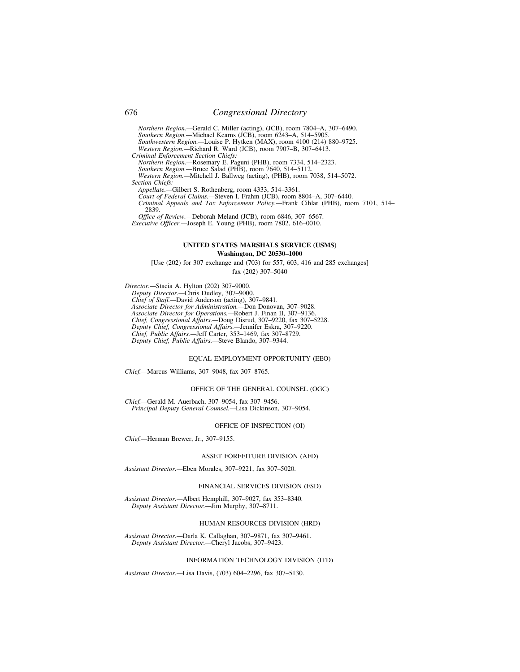*Northern Region.—*Gerald C. Miller (acting), (JCB), room 7804–A, 307–6490. *Southern Region.—*Michael Kearns (JCB), room 6243–A, 514–5905. *Southwestern Region.—*Louise P. Hytken (MAX), room 4100 (214) 880–9725. *Western Region.—*Richard R. Ward (JCB), room 7907–B, 307–6413. *Criminal Enforcement Section Chiefs:* 

*Northern Region.—*Rosemary E. Paguni (PHB), room 7334, 514–2323. *Southern Region.—*Bruce Salad (PHB), room 7640, 514–5112. *Western Region.—*Mitchell J. Ballweg (acting), (PHB), room 7038, 514–5072. *Section Chiefs:* 

*Appellate.—*Gilbert S. Rothenberg, room 4333, 514–3361. *Court of Federal Claims.—*Steven I. Frahm (JCB), room 8804–A, 307–6440. *Criminal Appeals and Tax Enforcement Policy.—*Frank Cihlar (PHB), room 7101, 514– 2839.

*Office of Review.—*Deborah Meland (JCB), room 6846, 307–6567. *Executive Officer.—*Joseph E. Young (PHB), room 7802, 616–0010.

## **UNITED STATES MARSHALS SERVICE (USMS) Washington, DC 20530–1000**

[Use (202) for 307 exchange and (703) for 557, 603, 416 and 285 exchanges] fax (202) 307–5040

*Director.—*Stacia A. Hylton (202) 307–9000. *Deputy Director.—*Chris Dudley, 307–9000. *Chief of Staff.—*David Anderson (acting), 307–9841. *Associate Director for Administration.—*Don Donovan, 307–9028. *Associate Director for Operations.—*Robert J. Finan II, 307–9136. *Chief, Congressional Affairs.—*Doug Disrud, 307–9220, fax 307–5228. *Deputy Chief, Congressional Affairs.—*Jennifer Eskra, 307–9220. *Chief, Public Affairs.—*Jeff Carter, 353–1469, fax 307–8729. *Deputy Chief, Public Affairs.—*Steve Blando, 307–9344.

## EQUAL EMPLOYMENT OPPORTUNITY (EEO)

*Chief.—*Marcus Williams, 307–9048, fax 307–8765.

#### OFFICE OF THE GENERAL COUNSEL (OGC)

*Chief.—*Gerald M. Auerbach, 307–9054, fax 307–9456. *Principal Deputy General Counsel.—*Lisa Dickinson, 307–9054.

### OFFICE OF INSPECTION (OI)

*Chief.—*Herman Brewer, Jr., 307–9155.

### ASSET FORFEITURE DIVISION (AFD)

*Assistant Director.—*Eben Morales, 307–9221, fax 307–5020.

#### FINANCIAL SERVICES DIVISION (FSD)

*Assistant Director.—*Albert Hemphill, 307–9027, fax 353–8340. *Deputy Assistant Director.—*Jim Murphy, 307–8711.

### HUMAN RESOURCES DIVISION (HRD)

*Assistant Director.—*Darla K. Callaghan, 307–9871, fax 307–9461. *Deputy Assistant Director.—*Cheryl Jacobs, 307–9423.

## INFORMATION TECHNOLOGY DIVISION (ITD)

*Assistant Director.—*Lisa Davis, (703) 604–2296, fax 307–5130.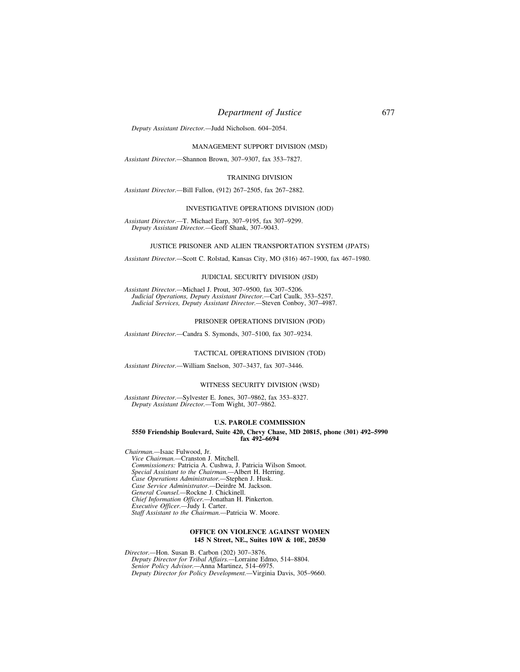# *Department of Justice* 677

*Deputy Assistant Director.—*Judd Nicholson. 604–2054.

MANAGEMENT SUPPORT DIVISION (MSD)

*Assistant Director.—*Shannon Brown, 307–9307, fax 353–7827.

## TRAINING DIVISION

*Assistant Director.—*Bill Fallon, (912) 267–2505, fax 267–2882.

### INVESTIGATIVE OPERATIONS DIVISION (IOD)

*Assistant Director.—*T. Michael Earp, 307–9195, fax 307–9299. *Deputy Assistant Director.—*Geoff Shank, 307–9043.

### JUSTICE PRISONER AND ALIEN TRANSPORTATION SYSTEM (JPATS)

*Assistant Director.—*Scott C. Rolstad, Kansas City, MO (816) 467–1900, fax 467–1980.

#### JUDICIAL SECURITY DIVISION (JSD)

*Assistant Director.—*Michael J. Prout, 307–9500, fax 307–5206. *Judicial Operations, Deputy Assistant Director.—*Carl Caulk, 353–5257. *Judicial Services, Deputy Assistant Director.—*Steven Conboy, 307–4987.

### PRISONER OPERATIONS DIVISION (POD)

*Assistant Director.—*Candra S. Symonds, 307–5100, fax 307–9234.

### TACTICAL OPERATIONS DIVISION (TOD)

*Assistant Director.—*William Snelson, 307–3437, fax 307–3446.

#### WITNESS SECURITY DIVISION (WSD)

*Assistant Director.—*Sylvester E. Jones, 307–9862, fax 353–8327. *Deputy Assistant Director.—*Tom Wight, 307–9862.

## **U.S. PAROLE COMMISSION**

#### **5550 Friendship Boulevard, Suite 420, Chevy Chase, MD 20815, phone (301) 492–5990 fax 492–6694**

*Chairman.—*Isaac Fulwood, Jr. *Vice Chairman.—*Cranston J. Mitchell. *Commissioners:* Patricia A. Cushwa, J. Patricia Wilson Smoot. *Special Assistant to the Chairman.—*Albert H. Herring. *Case Operations Administrator.—*Stephen J. Husk. *Case Service Administrator.—*Deirdre M. Jackson. *General Counsel.—*Rockne J. Chickinell. *Chief Information Officer.—*Jonathan H. Pinkerton. *Executive Officer.—*Judy I. Carter. *Staff Assistant to the Chairman.—*Patricia W. Moore.

## **OFFICE ON VIOLENCE AGAINST WOMEN 145 N Street, NE., Suites 10W & 10E, 20530**

*Director.—*Hon. Susan B. Carbon (202) 307–3876. *Deputy Director for Tribal Affairs.—*Lorraine Edmo, 514–8804. *Senior Policy Advisor.—*Anna Martinez, 514–6975. *Deputy Director for Policy Development.—*Virginia Davis, 305–9660.